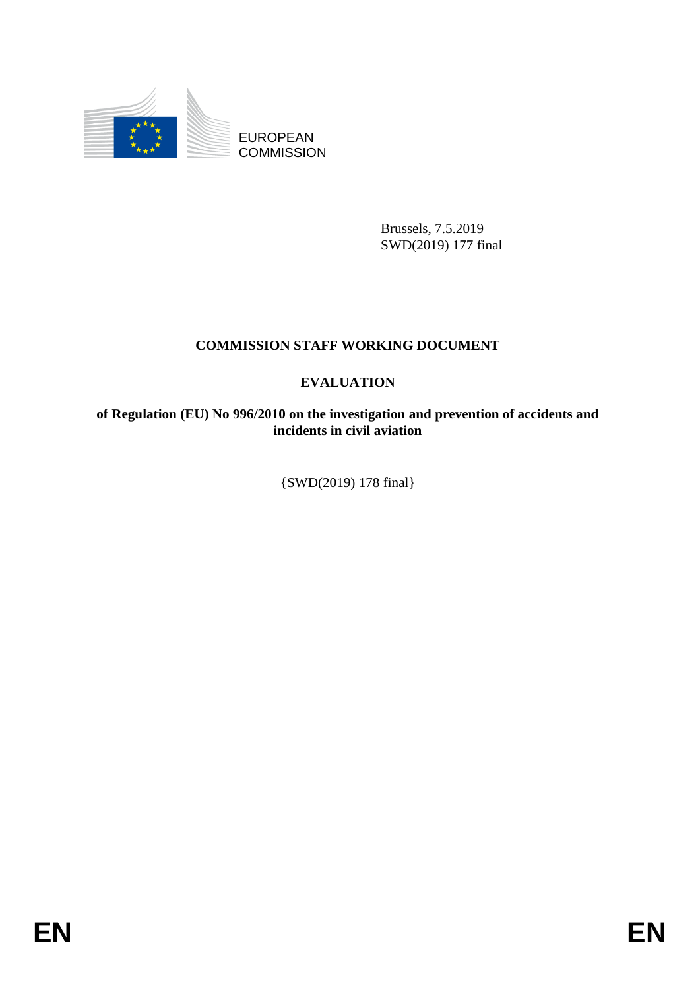

EUROPEAN **COMMISSION** 

> Brussels, 7.5.2019 SWD(2019) 177 final

# **COMMISSION STAFF WORKING DOCUMENT**

# **EVALUATION**

**of Regulation (EU) No 996/2010 on the investigation and prevention of accidents and incidents in civil aviation** 

{SWD(2019) 178 final}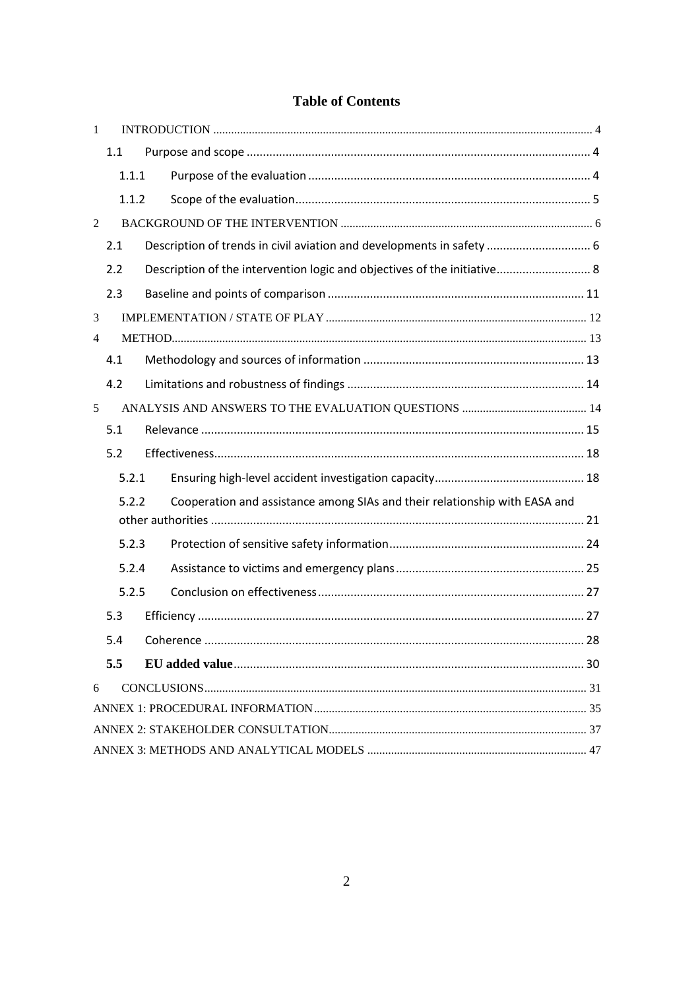# **Table of Contents**

| 1 |       |                                                                            |  |
|---|-------|----------------------------------------------------------------------------|--|
|   | 1.1   |                                                                            |  |
|   | 1.1.1 |                                                                            |  |
|   | 1.1.2 |                                                                            |  |
| 2 |       |                                                                            |  |
|   | 2.1   | Description of trends in civil aviation and developments in safety  6      |  |
|   | 2.2   | Description of the intervention logic and objectives of the initiative 8   |  |
|   | 2.3   |                                                                            |  |
| 3 |       |                                                                            |  |
| 4 |       |                                                                            |  |
|   | 4.1   |                                                                            |  |
|   | 4.2   |                                                                            |  |
| 5 |       |                                                                            |  |
|   | 5.1   |                                                                            |  |
|   | 5.2   |                                                                            |  |
|   | 5.2.1 |                                                                            |  |
|   | 5.2.2 | Cooperation and assistance among SIAs and their relationship with EASA and |  |
|   |       |                                                                            |  |
|   | 5.2.3 |                                                                            |  |
|   | 5.2.4 |                                                                            |  |
|   | 5.2.5 |                                                                            |  |
|   | 5.3   |                                                                            |  |
|   | 5.4   |                                                                            |  |
|   | 5.5   |                                                                            |  |
| 6 |       |                                                                            |  |
|   |       |                                                                            |  |
|   |       |                                                                            |  |
|   |       |                                                                            |  |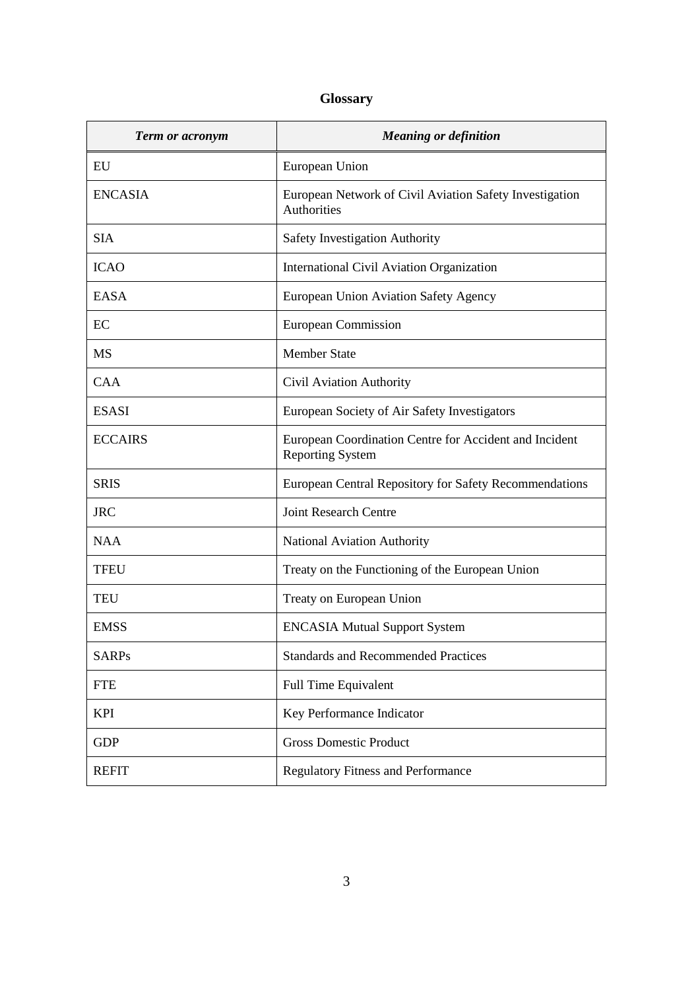# **Glossary**

| Term or acronym | <b>Meaning or definition</b>                                                      |
|-----------------|-----------------------------------------------------------------------------------|
| EU              | European Union                                                                    |
| <b>ENCASIA</b>  | European Network of Civil Aviation Safety Investigation<br>Authorities            |
| <b>SIA</b>      | <b>Safety Investigation Authority</b>                                             |
| <b>ICAO</b>     | International Civil Aviation Organization                                         |
| <b>EASA</b>     | European Union Aviation Safety Agency                                             |
| EC              | European Commission                                                               |
| <b>MS</b>       | <b>Member State</b>                                                               |
| <b>CAA</b>      | Civil Aviation Authority                                                          |
| <b>ESASI</b>    | European Society of Air Safety Investigators                                      |
| <b>ECCAIRS</b>  | European Coordination Centre for Accident and Incident<br><b>Reporting System</b> |
| <b>SRIS</b>     | European Central Repository for Safety Recommendations                            |
| <b>JRC</b>      | <b>Joint Research Centre</b>                                                      |
| <b>NAA</b>      | <b>National Aviation Authority</b>                                                |
| <b>TFEU</b>     | Treaty on the Functioning of the European Union                                   |
| <b>TEU</b>      | Treaty on European Union                                                          |
| <b>EMSS</b>     | <b>ENCASIA Mutual Support System</b>                                              |
| <b>SARPs</b>    | <b>Standards and Recommended Practices</b>                                        |
| <b>FTE</b>      | <b>Full Time Equivalent</b>                                                       |
| <b>KPI</b>      | Key Performance Indicator                                                         |
| <b>GDP</b>      | <b>Gross Domestic Product</b>                                                     |
| <b>REFIT</b>    | <b>Regulatory Fitness and Performance</b>                                         |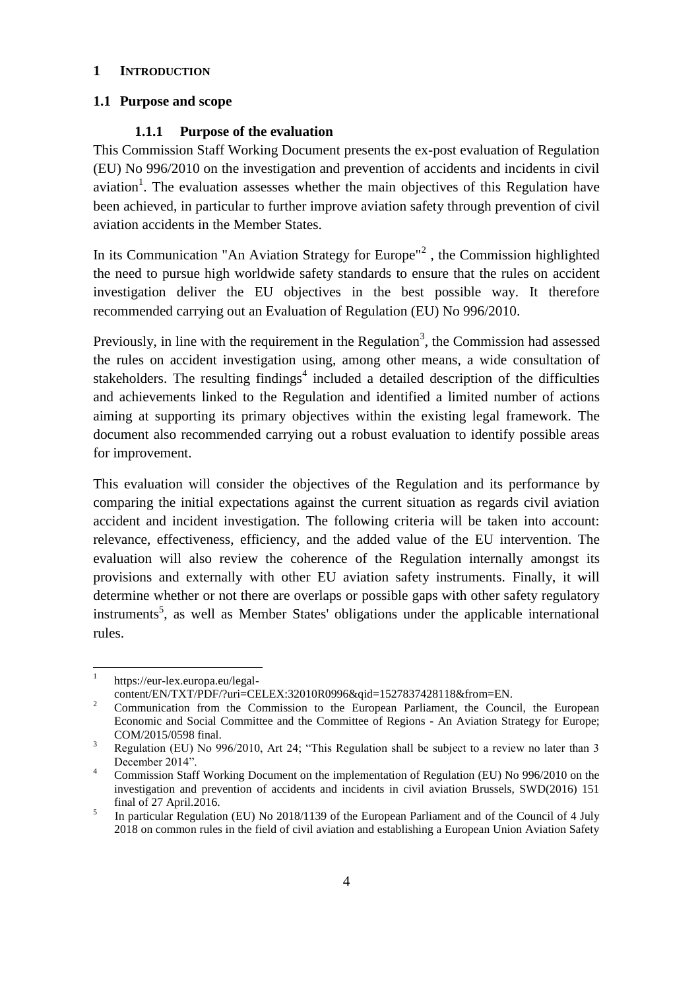### <span id="page-3-0"></span>**1 INTRODUCTION**

### <span id="page-3-1"></span>**1.1 Purpose and scope**

#### <span id="page-3-2"></span>**1.1.1 Purpose of the evaluation**

This Commission Staff Working Document presents the ex-post evaluation of Regulation (EU) No 996/2010 on the investigation and prevention of accidents and incidents in civil aviation<sup>1</sup>. The evaluation assesses whether the main objectives of this Regulation have been achieved, in particular to further improve aviation safety through prevention of civil aviation accidents in the Member States.

In its Communication "An Aviation Strategy for Europe"<sup>2</sup>, the Commission highlighted the need to pursue high worldwide safety standards to ensure that the rules on accident investigation deliver the EU objectives in the best possible way. It therefore recommended carrying out an Evaluation of Regulation (EU) No 996/2010.

Previously, in line with the requirement in the Regulation<sup>3</sup>, the Commission had assessed the rules on accident investigation using, among other means, a wide consultation of stakeholders. The resulting findings<sup>4</sup> included a detailed description of the difficulties and achievements linked to the Regulation and identified a limited number of actions aiming at supporting its primary objectives within the existing legal framework. The document also recommended carrying out a robust evaluation to identify possible areas for improvement.

This evaluation will consider the objectives of the Regulation and its performance by comparing the initial expectations against the current situation as regards civil aviation accident and incident investigation. The following criteria will be taken into account: relevance, effectiveness, efficiency, and the added value of the EU intervention. The evaluation will also review the coherence of the Regulation internally amongst its provisions and externally with other EU aviation safety instruments. Finally, it will determine whether or not there are overlaps or possible gaps with other safety regulatory instruments<sup>5</sup>, as well as Member States' obligations under the applicable international rules.

<sup>|&</sup>lt;br>|<br>| https://eur-lex.europa.eu/legal-

content/EN/TXT/PDF/?uri=CELEX:32010R0996&qid=1527837428118&from=EN. <sup>2</sup> Communication from the Commission to the European Parliament, the Council, the European Economic and Social Committee and the Committee of Regions - An Aviation Strategy for Europe;

COM/2015/0598 final. <sup>3</sup> Regulation (EU) No 996/2010, Art 24; "This Regulation shall be subject to a review no later than 3

December 2014".

<sup>4</sup> Commission Staff Working Document on the implementation of Regulation (EU) No 996/2010 on the investigation and prevention of accidents and incidents in civil aviation Brussels, SWD(2016) 151 final of 27 April.2016.

<sup>5</sup> In particular Regulation (EU) No 2018/1139 of the European Parliament and of the Council of 4 July 2018 on common rules in the field of civil aviation and establishing a European Union Aviation Safety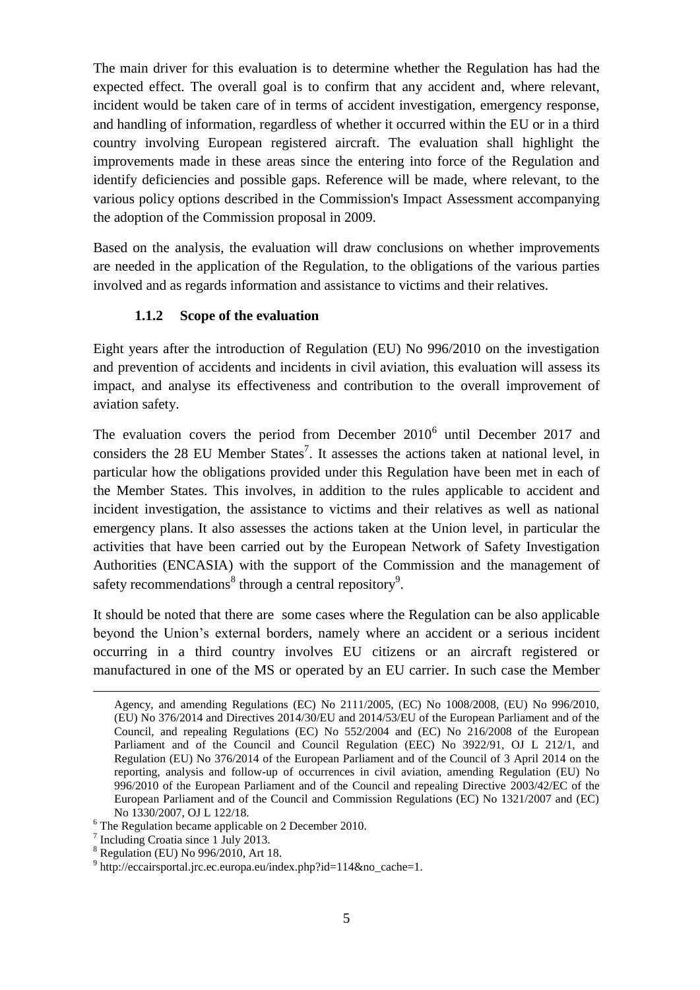The main driver for this evaluation is to determine whether the Regulation has had the expected effect. The overall goal is to confirm that any accident and, where relevant, incident would be taken care of in terms of accident investigation, emergency response, and handling of information, regardless of whether it occurred within the EU or in a third country involving European registered aircraft. The evaluation shall highlight the improvements made in these areas since the entering into force of the Regulation and identify deficiencies and possible gaps. Reference will be made, where relevant, to the various policy options described in the Commission's Impact Assessment accompanying the adoption of the Commission proposal in 2009.

Based on the analysis, the evaluation will draw conclusions on whether improvements are needed in the application of the Regulation, to the obligations of the various parties involved and as regards information and assistance to victims and their relatives.

# <span id="page-4-0"></span>**1.1.2 Scope of the evaluation**

Eight years after the introduction of Regulation (EU) No 996/2010 on the investigation and prevention of accidents and incidents in civil aviation, this evaluation will assess its impact, and analyse its effectiveness and contribution to the overall improvement of aviation safety.

The evaluation covers the period from December  $2010<sup>6</sup>$  until December 2017 and considers the 28 EU Member States<sup>7</sup>. It assesses the actions taken at national level, in particular how the obligations provided under this Regulation have been met in each of the Member States. This involves, in addition to the rules applicable to accident and incident investigation, the assistance to victims and their relatives as well as national emergency plans. It also assesses the actions taken at the Union level, in particular the activities that have been carried out by the European Network of Safety Investigation Authorities (ENCASIA) with the support of the Commission and the management of safety recommendations<sup>8</sup> through a central repository<sup>9</sup>.

It should be noted that there are some cases where the Regulation can be also applicable beyond the Union's external borders, namely where an accident or a serious incident occurring in a third country involves EU citizens or an aircraft registered or manufactured in one of the MS or operated by an EU carrier. In such case the Member

 $\overline{a}$ 

Agency, and amending Regulations (EC) No 2111/2005, (EC) No 1008/2008, (EU) No 996/2010, (EU) No 376/2014 and Directives 2014/30/EU and 2014/53/EU of the European Parliament and of the Council, and repealing Regulations (EC) No 552/2004 and (EC) No 216/2008 of the European Parliament and of the Council and Council Regulation (EEC) No 3922/91, OJ L 212/1, and Regulation (EU) No 376/2014 of the European Parliament and of the Council of 3 April 2014 on the reporting, analysis and follow-up of occurrences in civil aviation, amending Regulation (EU) No 996/2010 of the European Parliament and of the Council and repealing Directive 2003/42/EC of the European Parliament and of the Council and Commission Regulations (EC) No 1321/2007 and (EC) No 1330/2007, OJ L 122/18.

<sup>6</sup> The Regulation became applicable on 2 December 2010.

<sup>7</sup> Including Croatia since 1 July 2013.

<sup>8</sup> Regulation (EU) No 996/2010, Art 18.

<sup>9</sup> http://eccairsportal.jrc.ec.europa.eu/index.php?id=114&no\_cache=1.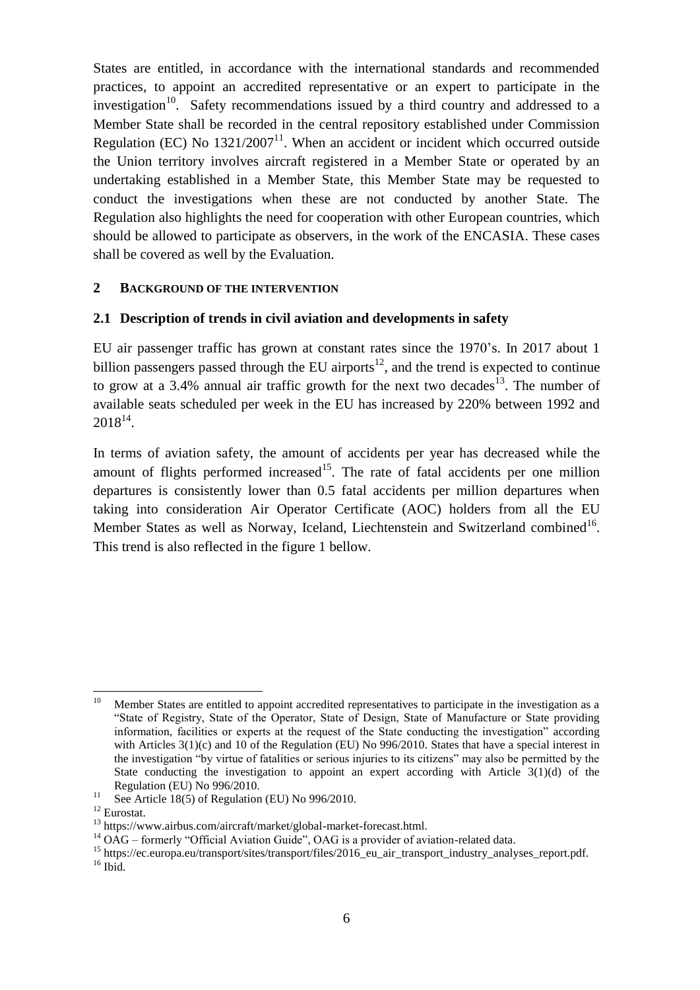States are entitled, in accordance with the international standards and recommended practices, to appoint an accredited representative or an expert to participate in the investigation<sup>10</sup>. Safety recommendations issued by a third country and addressed to a Member State shall be recorded in the central repository established under Commission Regulation (EC) No  $1321/2007<sup>11</sup>$ . When an accident or incident which occurred outside the Union territory involves aircraft registered in a Member State or operated by an undertaking established in a Member State, this Member State may be requested to conduct the investigations when these are not conducted by another State. The Regulation also highlights the need for cooperation with other European countries, which should be allowed to participate as observers, in the work of the ENCASIA. These cases shall be covered as well by the Evaluation.

### <span id="page-5-0"></span>**2 BACKGROUND OF THE INTERVENTION**

### <span id="page-5-1"></span>**2.1 Description of trends in civil aviation and developments in safety**

EU air passenger traffic has grown at constant rates since the 1970's. In 2017 about 1 billion passengers passed through the EU airports<sup>12</sup>, and the trend is expected to continue to grow at a 3.4% annual air traffic growth for the next two decades<sup>13</sup>. The number of available seats scheduled per week in the EU has increased by 220% between 1992 and  $2018^{14}$ .

In terms of aviation safety, the amount of accidents per year has decreased while the amount of flights performed increased<sup>15</sup>. The rate of fatal accidents per one million departures is consistently lower than 0.5 fatal accidents per million departures when taking into consideration Air Operator Certificate (AOC) holders from all the EU Member States as well as Norway, Iceland, Liechtenstein and Switzerland combined<sup>16</sup>. This trend is also reflected in the figure 1 bellow.

 $10\,$ Member States are entitled to appoint accredited representatives to participate in the investigation as a "State of Registry, State of the Operator, State of Design, State of Manufacture or State providing information, facilities or experts at the request of the State conducting the investigation" according with Articles 3(1)(c) and 10 of the Regulation (EU) No 996/2010. States that have a special interest in the investigation "by virtue of fatalities or serious injuries to its citizens" may also be permitted by the State conducting the investigation to appoint an expert according with Article  $3(1)(d)$  of the Regulation (EU) No 996/2010.

<sup>&</sup>lt;sup>11</sup> See Article 18(5) of Regulation (EU) No 996/2010.

<sup>12</sup> Eurostat.

<sup>13</sup> https://www.airbus.com/aircraft/market/global-market-forecast.html.

<sup>&</sup>lt;sup>14</sup> OAG – formerly "Official Aviation Guide", OAG is a provider of aviation-related data.

<sup>15</sup> https://ec.europa.eu/transport/sites/transport/files/2016\_eu\_air\_transport\_industry\_analyses\_report.pdf.  $16$  Ibid.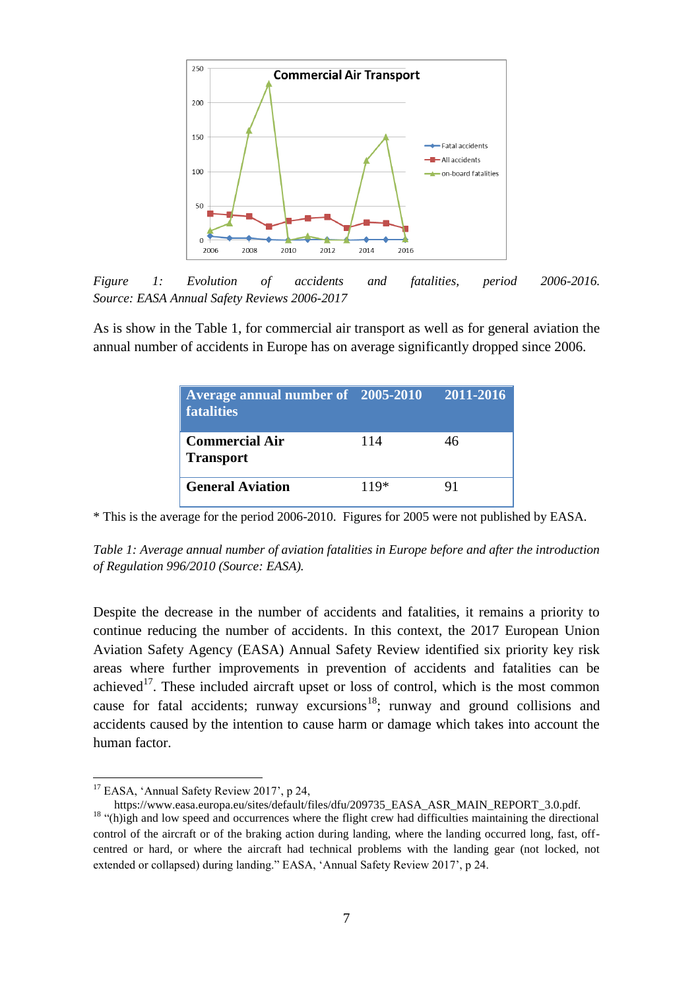

*Figure 1: Evolution of accidents and fatalities, period 2006-2016. Source: EASA Annual Safety Reviews 2006-2017*

As is show in the Table 1, for commercial air transport as well as for general aviation the annual number of accidents in Europe has on average significantly dropped since 2006.

| Average annual number of 2005-2010<br>fatalities |        | 2011-2016 |
|--------------------------------------------------|--------|-----------|
| <b>Commercial Air</b><br><b>Transport</b>        | 114    | 46        |
| <b>General Aviation</b>                          | $119*$ | 91        |

\* This is the average for the period 2006-2010. Figures for 2005 were not published by EASA.

*Table 1: Average annual number of aviation fatalities in Europe before and after the introduction of Regulation 996/2010 (Source: EASA).*

Despite the decrease in the number of accidents and fatalities, it remains a priority to continue reducing the number of accidents. In this context, the 2017 European Union Aviation Safety Agency (EASA) Annual Safety Review identified six priority key risk areas where further improvements in prevention of accidents and fatalities can be achieved<sup>17</sup>. These included aircraft upset or loss of control, which is the most common cause for fatal accidents; runway excursions<sup>18</sup>; runway and ground collisions and accidents caused by the intention to cause harm or damage which takes into account the human factor.

 $\overline{a}$ 

<sup>&</sup>lt;sup>17</sup> EASA, 'Annual Safety Review 2017', p 24,

https://www.easa.europa.eu/sites/default/files/dfu/209735\_EASA\_ASR\_MAIN\_REPORT\_3.0.pdf. <sup>18</sup> "(h)igh and low speed and occurrences where the flight crew had difficulties maintaining the directional control of the aircraft or of the braking action during landing, where the landing occurred long, fast, offcentred or hard, or where the aircraft had technical problems with the landing gear (not locked, not extended or collapsed) during landing." EASA, 'Annual Safety Review 2017', p 24.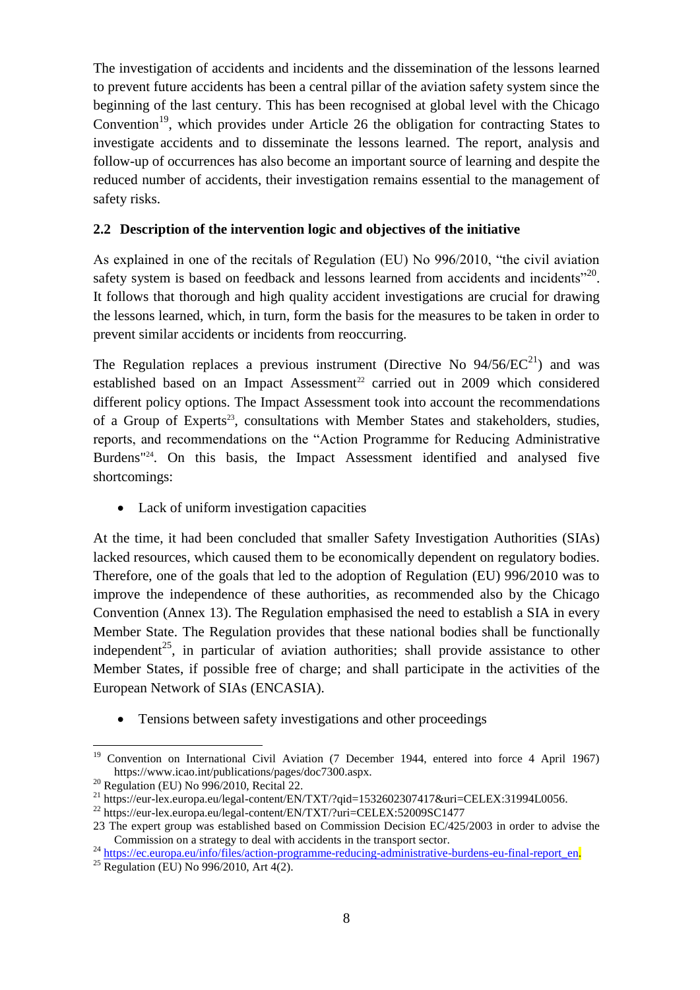The investigation of accidents and incidents and the dissemination of the lessons learned to prevent future accidents has been a central pillar of the aviation safety system since the beginning of the last century. This has been recognised at global level with the Chicago Convention<sup>19</sup>, which provides under Article 26 the obligation for contracting States to investigate accidents and to disseminate the lessons learned. The report, analysis and follow-up of occurrences has also become an important source of learning and despite the reduced number of accidents, their investigation remains essential to the management of safety risks.

# <span id="page-7-0"></span>**2.2 Description of the intervention logic and objectives of the initiative**

As explained in one of the recitals of Regulation (EU) No 996/2010, "the civil aviation safety system is based on feedback and lessons learned from accidents and incidents $^{220}$ . It follows that thorough and high quality accident investigations are crucial for drawing the lessons learned, which, in turn, form the basis for the measures to be taken in order to prevent similar accidents or incidents from reoccurring.

The Regulation replaces a previous instrument (Directive No  $94/56/EC^{21}$ ) and was established based on an Impact Assessment<sup>22</sup> carried out in 2009 which considered different policy options. The Impact Assessment took into account the recommendations of a Group of Experts<sup>23</sup>, consultations with Member States and stakeholders, studies, reports, and recommendations on the "Action Programme for Reducing Administrative Burdens<sup>"24</sup>. On this basis, the Impact Assessment identified and analysed five shortcomings:

• Lack of uniform investigation capacities

At the time, it had been concluded that smaller Safety Investigation Authorities (SIAs) lacked resources, which caused them to be economically dependent on regulatory bodies. Therefore, one of the goals that led to the adoption of Regulation (EU) 996/2010 was to improve the independence of these authorities, as recommended also by the Chicago Convention (Annex 13). The Regulation emphasised the need to establish a SIA in every Member State. The Regulation provides that these national bodies shall be functionally independent<sup>25</sup>, in particular of aviation authorities; shall provide assistance to other Member States, if possible free of charge; and shall participate in the activities of the European Network of SIAs (ENCASIA).

Tensions between safety investigations and other proceedings

 $\overline{a}$ <sup>19</sup> Convention on International Civil Aviation (7 December 1944, entered into force 4 April 1967) https://www.icao.int/publications/pages/doc7300.aspx.

 $20$  Regulation (EU) No 996/2010, Recital 22.

<sup>&</sup>lt;sup>21</sup> https://eur-lex.europa.eu/legal-content/EN/TXT/?qid=1532602307417&uri=CELEX:31994L0056.

<sup>&</sup>lt;sup>22</sup> https://eur-lex.europa.eu/legal-content/EN/TXT/?uri=CELEX:52009SC1477

<sup>23</sup> The expert group was established based on Commission Decision EC/425/2003 in order to advise the Commission on a strategy to deal with accidents in the transport sector.

<sup>&</sup>lt;sup>24</sup> [https://ec.europa.eu/info/files/action-programme-reducing-administrative-burdens-eu-final-report\\_en.](https://ec.europa.eu/info/files/action-programme-reducing-administrative-burdens-eu-final-report_en)

<sup>&</sup>lt;sup>25</sup> Regulation (EU) No 996/2010, Art  $4(2)$ .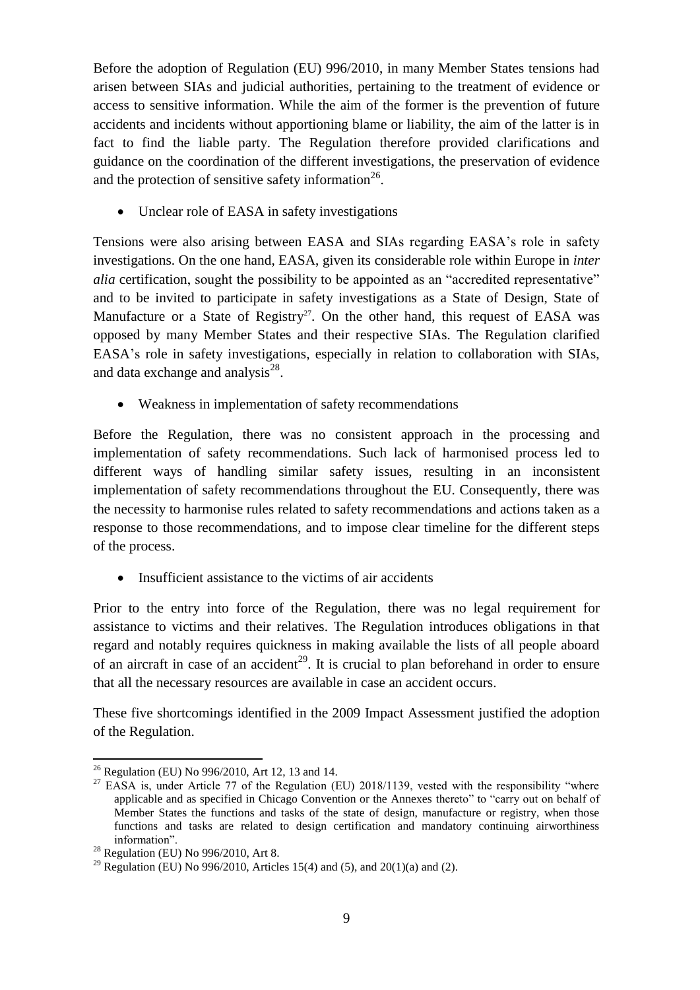Before the adoption of Regulation (EU) 996/2010, in many Member States tensions had arisen between SIAs and judicial authorities, pertaining to the treatment of evidence or access to sensitive information. While the aim of the former is the prevention of future accidents and incidents without apportioning blame or liability, the aim of the latter is in fact to find the liable party. The Regulation therefore provided clarifications and guidance on the coordination of the different investigations, the preservation of evidence and the protection of sensitive safety information<sup>26</sup>.

Unclear role of EASA in safety investigations

Tensions were also arising between EASA and SIAs regarding EASA's role in safety investigations. On the one hand, EASA, given its considerable role within Europe in *inter alia* certification, sought the possibility to be appointed as an "accredited representative" and to be invited to participate in safety investigations as a State of Design, State of Manufacture or a State of Registry<sup>27</sup>. On the other hand, this request of EASA was opposed by many Member States and their respective SIAs. The Regulation clarified EASA's role in safety investigations, especially in relation to collaboration with SIAs, and data exchange and analysis $^{28}$ .

Weakness in implementation of safety recommendations

Before the Regulation, there was no consistent approach in the processing and implementation of safety recommendations. Such lack of harmonised process led to different ways of handling similar safety issues, resulting in an inconsistent implementation of safety recommendations throughout the EU. Consequently, there was the necessity to harmonise rules related to safety recommendations and actions taken as a response to those recommendations, and to impose clear timeline for the different steps of the process.

• Insufficient assistance to the victims of air accidents

Prior to the entry into force of the Regulation, there was no legal requirement for assistance to victims and their relatives. The Regulation introduces obligations in that regard and notably requires quickness in making available the lists of all people aboard of an aircraft in case of an accident<sup>29</sup>. It is crucial to plan beforehand in order to ensure that all the necessary resources are available in case an accident occurs.

These five shortcomings identified in the 2009 Impact Assessment justified the adoption of the Regulation.

 $\overline{a}$ <sup>26</sup> Regulation (EU) No 996/2010, Art 12, 13 and 14.

 $27$  EASA is, under Article 77 of the Regulation (EU) 2018/1139, vested with the responsibility "where applicable and as specified in Chicago Convention or the Annexes thereto" to "carry out on behalf of Member States the functions and tasks of the state of design, manufacture or registry, when those functions and tasks are related to design certification and mandatory continuing airworthiness information".

 $28$  Regulation (EU) No 996/2010, Art 8.

<sup>&</sup>lt;sup>29</sup> Regulation (EU) No 996/2010, Articles 15(4) and (5), and 20(1)(a) and (2).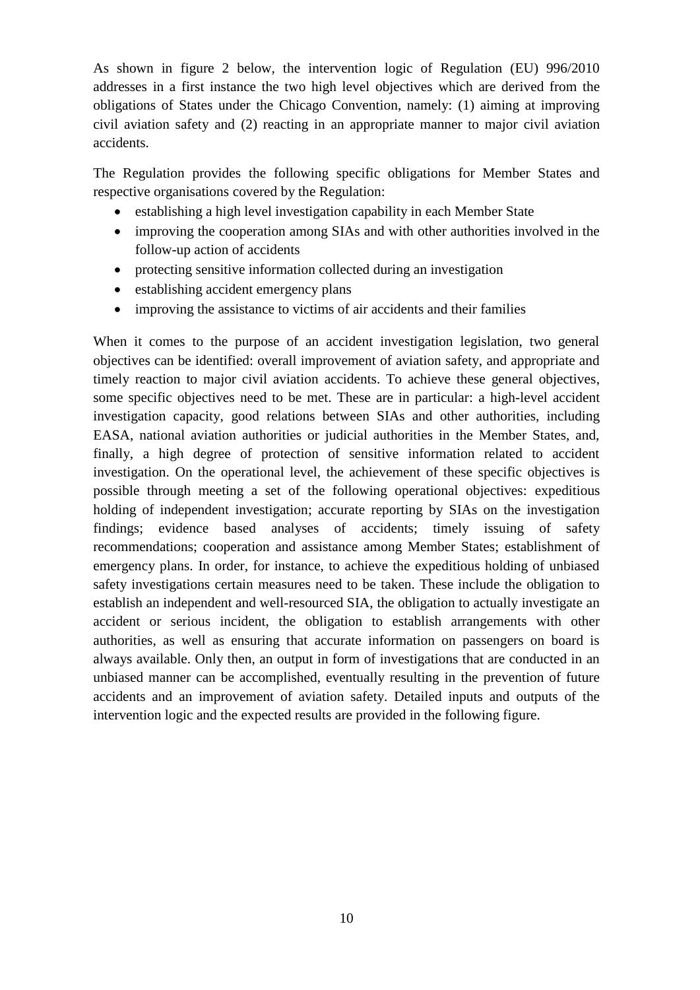As shown in figure 2 below, the intervention logic of Regulation (EU) 996/2010 addresses in a first instance the two high level objectives which are derived from the obligations of States under the Chicago Convention, namely: (1) aiming at improving civil aviation safety and (2) reacting in an appropriate manner to major civil aviation accidents.

The Regulation provides the following specific obligations for Member States and respective organisations covered by the Regulation:

- establishing a high level investigation capability in each Member State
- improving the cooperation among SIAs and with other authorities involved in the follow-up action of accidents
- protecting sensitive information collected during an investigation
- establishing accident emergency plans
- improving the assistance to victims of air accidents and their families

When it comes to the purpose of an accident investigation legislation, two general objectives can be identified: overall improvement of aviation safety, and appropriate and timely reaction to major civil aviation accidents. To achieve these general objectives, some specific objectives need to be met. These are in particular: a high-level accident investigation capacity, good relations between SIAs and other authorities, including EASA, national aviation authorities or judicial authorities in the Member States, and, finally, a high degree of protection of sensitive information related to accident investigation. On the operational level, the achievement of these specific objectives is possible through meeting a set of the following operational objectives: expeditious holding of independent investigation; accurate reporting by SIAs on the investigation findings; evidence based analyses of accidents; timely issuing of safety recommendations; cooperation and assistance among Member States; establishment of emergency plans. In order, for instance, to achieve the expeditious holding of unbiased safety investigations certain measures need to be taken. These include the obligation to establish an independent and well-resourced SIA, the obligation to actually investigate an accident or serious incident, the obligation to establish arrangements with other authorities, as well as ensuring that accurate information on passengers on board is always available. Only then, an output in form of investigations that are conducted in an unbiased manner can be accomplished, eventually resulting in the prevention of future accidents and an improvement of aviation safety. Detailed inputs and outputs of the intervention logic and the expected results are provided in the following figure.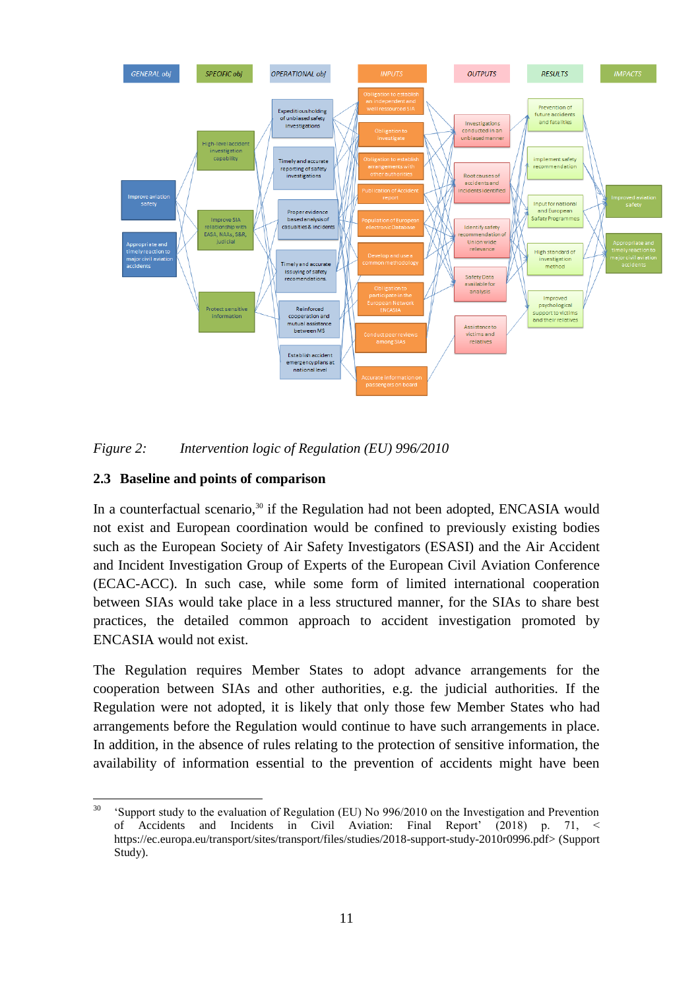



# <span id="page-10-0"></span>**2.3 Baseline and points of comparison**

In a counterfactual scenario,<sup>30</sup> if the Regulation had not been adopted, ENCASIA would not exist and European coordination would be confined to previously existing bodies such as the European Society of Air Safety Investigators (ESASI) and the Air Accident and Incident Investigation Group of Experts of the European Civil Aviation Conference (ECAC-ACC). In such case, while some form of limited international cooperation between SIAs would take place in a less structured manner, for the SIAs to share best practices, the detailed common approach to accident investigation promoted by ENCASIA would not exist.

The Regulation requires Member States to adopt advance arrangements for the cooperation between SIAs and other authorities, e.g. the judicial authorities. If the Regulation were not adopted, it is likely that only those few Member States who had arrangements before the Regulation would continue to have such arrangements in place. In addition, in the absence of rules relating to the protection of sensitive information, the availability of information essential to the prevention of accidents might have been

<sup>30</sup> <sup>30</sup> 'Support study to the evaluation of Regulation (EU) No 996/2010 on the Investigation and Prevention of Accidents and Incidents in Civil Aviation: Final Report' (2018) p. 71, < https://ec.europa.eu/transport/sites/transport/files/studies/2018-support-study-2010r0996.pdf> (Support Study).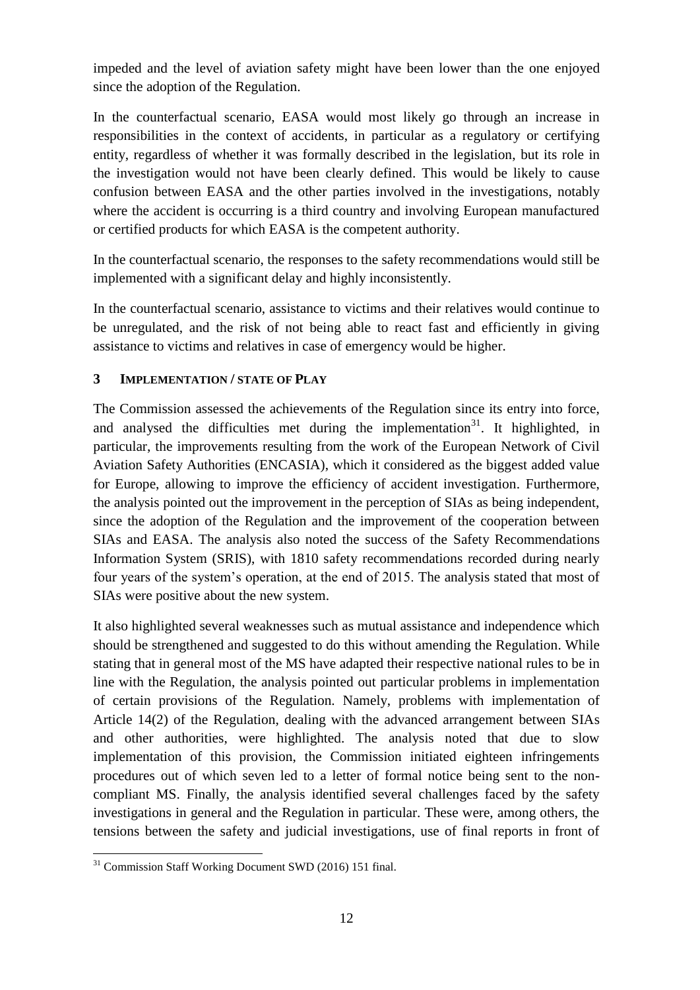impeded and the level of aviation safety might have been lower than the one enjoyed since the adoption of the Regulation.

In the counterfactual scenario, EASA would most likely go through an increase in responsibilities in the context of accidents, in particular as a regulatory or certifying entity, regardless of whether it was formally described in the legislation, but its role in the investigation would not have been clearly defined. This would be likely to cause confusion between EASA and the other parties involved in the investigations, notably where the accident is occurring is a third country and involving European manufactured or certified products for which EASA is the competent authority.

In the counterfactual scenario, the responses to the safety recommendations would still be implemented with a significant delay and highly inconsistently.

In the counterfactual scenario, assistance to victims and their relatives would continue to be unregulated, and the risk of not being able to react fast and efficiently in giving assistance to victims and relatives in case of emergency would be higher.

# <span id="page-11-0"></span>**3 IMPLEMENTATION / STATE OF PLAY**

The Commission assessed the achievements of the Regulation since its entry into force, and analysed the difficulties met during the implementation<sup>31</sup>. It highlighted, in particular, the improvements resulting from the work of the European Network of Civil Aviation Safety Authorities (ENCASIA), which it considered as the biggest added value for Europe, allowing to improve the efficiency of accident investigation. Furthermore, the analysis pointed out the improvement in the perception of SIAs as being independent, since the adoption of the Regulation and the improvement of the cooperation between SIAs and EASA. The analysis also noted the success of the Safety Recommendations Information System (SRIS), with 1810 safety recommendations recorded during nearly four years of the system's operation, at the end of 2015. The analysis stated that most of SIAs were positive about the new system.

It also highlighted several weaknesses such as mutual assistance and independence which should be strengthened and suggested to do this without amending the Regulation. While stating that in general most of the MS have adapted their respective national rules to be in line with the Regulation, the analysis pointed out particular problems in implementation of certain provisions of the Regulation. Namely, problems with implementation of Article 14(2) of the Regulation, dealing with the advanced arrangement between SIAs and other authorities, were highlighted. The analysis noted that due to slow implementation of this provision, the Commission initiated eighteen infringements procedures out of which seven led to a letter of formal notice being sent to the noncompliant MS. Finally, the analysis identified several challenges faced by the safety investigations in general and the Regulation in particular. These were, among others, the tensions between the safety and judicial investigations, use of final reports in front of

 $\overline{a}$ <sup>31</sup> Commission Staff Working Document SWD (2016) 151 final.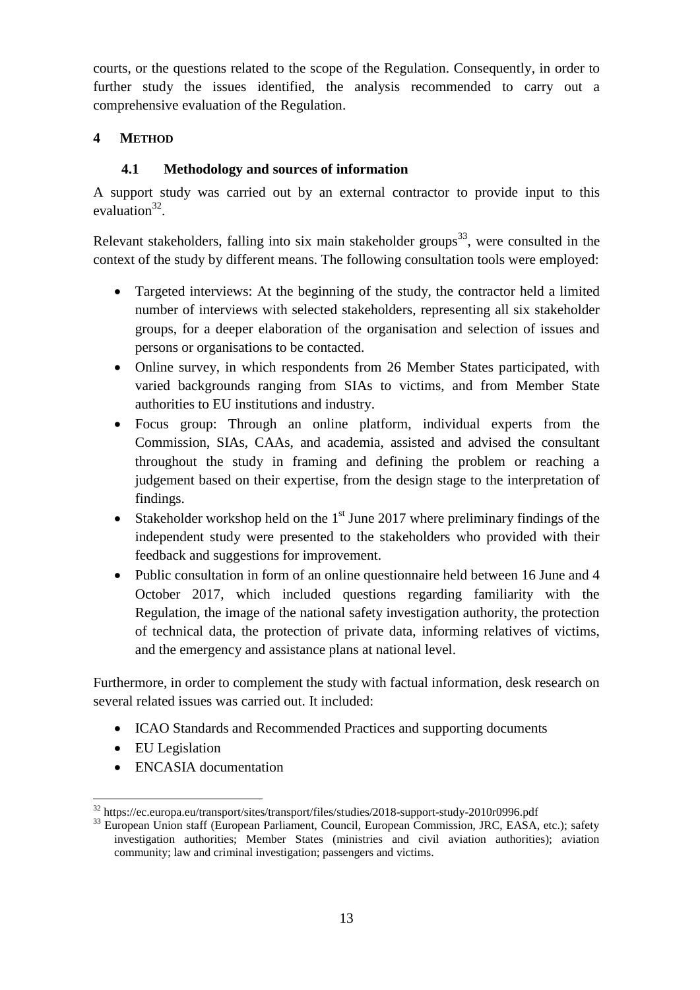courts, or the questions related to the scope of the Regulation. Consequently, in order to further study the issues identified, the analysis recommended to carry out a comprehensive evaluation of the Regulation.

# <span id="page-12-0"></span>**4 METHOD**

# **4.1 Methodology and sources of information**

<span id="page-12-1"></span>A support study was carried out by an external contractor to provide input to this evaluation $32$ .

Relevant stakeholders, falling into six main stakeholder groups<sup>33</sup>, were consulted in the context of the study by different means. The following consultation tools were employed:

- Targeted interviews: At the beginning of the study, the contractor held a limited number of interviews with selected stakeholders, representing all six stakeholder groups, for a deeper elaboration of the organisation and selection of issues and persons or organisations to be contacted.
- Online survey, in which respondents from 26 Member States participated, with varied backgrounds ranging from SIAs to victims, and from Member State authorities to EU institutions and industry.
- Focus group: Through an online platform, individual experts from the Commission, SIAs, CAAs, and academia, assisted and advised the consultant throughout the study in framing and defining the problem or reaching a judgement based on their expertise, from the design stage to the interpretation of findings.
- Stakeholder workshop held on the  $1<sup>st</sup>$  June 2017 where preliminary findings of the independent study were presented to the stakeholders who provided with their feedback and suggestions for improvement.
- Public consultation in form of an online questionnaire held between 16 June and 4 October 2017, which included questions regarding familiarity with the Regulation, the image of the national safety investigation authority, the protection of technical data, the protection of private data, informing relatives of victims, and the emergency and assistance plans at national level.

Furthermore, in order to complement the study with factual information, desk research on several related issues was carried out. It included:

- ICAO Standards and Recommended Practices and supporting documents
- EU Legislation
- ENCASIA documentation

 $\overline{a}$ <sup>32</sup> https://ec.europa.eu/transport/sites/transport/files/studies/2018-support-study-2010r0996.pdf

<sup>&</sup>lt;sup>33</sup> European Union staff (European Parliament, Council, European Commission, JRC, EASA, etc.); safety investigation authorities; Member States (ministries and civil aviation authorities); aviation community; law and criminal investigation; passengers and victims.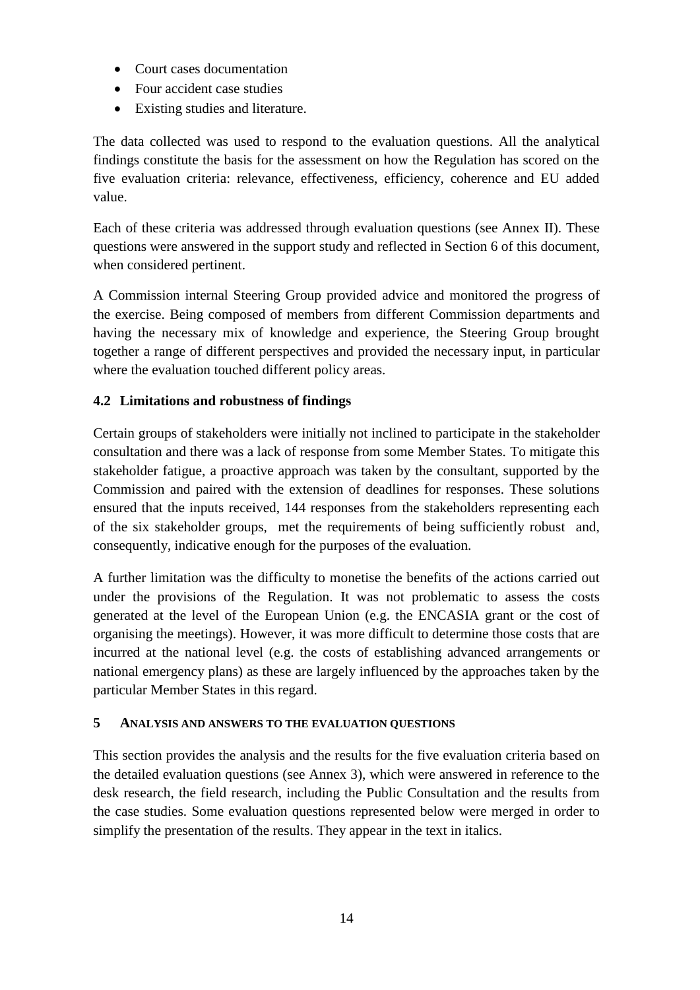- Court cases documentation
- Four accident case studies
- Existing studies and literature.

The data collected was used to respond to the evaluation questions. All the analytical findings constitute the basis for the assessment on how the Regulation has scored on the five evaluation criteria: relevance, effectiveness, efficiency, coherence and EU added value.

Each of these criteria was addressed through evaluation questions (see Annex II). These questions were answered in the support study and reflected in Section 6 of this document, when considered pertinent.

A Commission internal Steering Group provided advice and monitored the progress of the exercise. Being composed of members from different Commission departments and having the necessary mix of knowledge and experience, the Steering Group brought together a range of different perspectives and provided the necessary input, in particular where the evaluation touched different policy areas.

# <span id="page-13-0"></span>**4.2 Limitations and robustness of findings**

Certain groups of stakeholders were initially not inclined to participate in the stakeholder consultation and there was a lack of response from some Member States. To mitigate this stakeholder fatigue, a proactive approach was taken by the consultant, supported by the Commission and paired with the extension of deadlines for responses. These solutions ensured that the inputs received, 144 responses from the stakeholders representing each of the six stakeholder groups, met the requirements of being sufficiently robust and, consequently, indicative enough for the purposes of the evaluation.

A further limitation was the difficulty to monetise the benefits of the actions carried out under the provisions of the Regulation. It was not problematic to assess the costs generated at the level of the European Union (e.g. the ENCASIA grant or the cost of organising the meetings). However, it was more difficult to determine those costs that are incurred at the national level (e.g. the costs of establishing advanced arrangements or national emergency plans) as these are largely influenced by the approaches taken by the particular Member States in this regard.

# <span id="page-13-1"></span>**5 ANALYSIS AND ANSWERS TO THE EVALUATION QUESTIONS**

This section provides the analysis and the results for the five evaluation criteria based on the detailed evaluation questions (see Annex 3), which were answered in reference to the desk research, the field research, including the Public Consultation and the results from the case studies. Some evaluation questions represented below were merged in order to simplify the presentation of the results. They appear in the text in italics.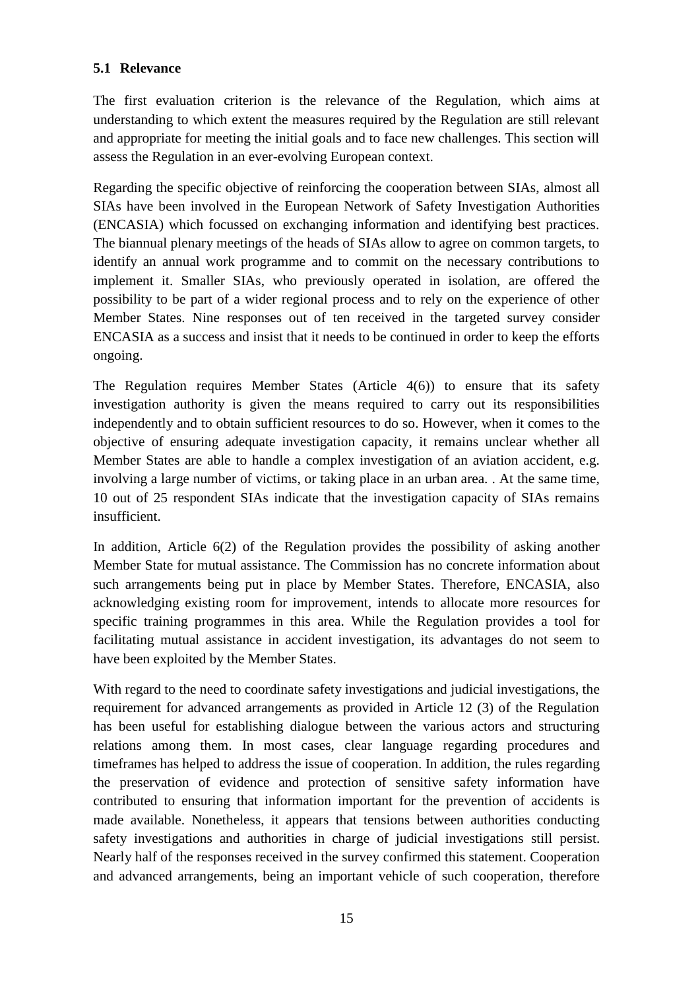# <span id="page-14-0"></span>**5.1 Relevance**

The first evaluation criterion is the relevance of the Regulation, which aims at understanding to which extent the measures required by the Regulation are still relevant and appropriate for meeting the initial goals and to face new challenges. This section will assess the Regulation in an ever-evolving European context.

Regarding the specific objective of reinforcing the cooperation between SIAs, almost all SIAs have been involved in the European Network of Safety Investigation Authorities (ENCASIA) which focussed on exchanging information and identifying best practices. The biannual plenary meetings of the heads of SIAs allow to agree on common targets, to identify an annual work programme and to commit on the necessary contributions to implement it. Smaller SIAs, who previously operated in isolation, are offered the possibility to be part of a wider regional process and to rely on the experience of other Member States. Nine responses out of ten received in the targeted survey consider ENCASIA as a success and insist that it needs to be continued in order to keep the efforts ongoing.

The Regulation requires Member States (Article 4(6)) to ensure that its safety investigation authority is given the means required to carry out its responsibilities independently and to obtain sufficient resources to do so. However, when it comes to the objective of ensuring adequate investigation capacity, it remains unclear whether all Member States are able to handle a complex investigation of an aviation accident, e.g. involving a large number of victims, or taking place in an urban area. . At the same time, 10 out of 25 respondent SIAs indicate that the investigation capacity of SIAs remains insufficient.

In addition, Article 6(2) of the Regulation provides the possibility of asking another Member State for mutual assistance. The Commission has no concrete information about such arrangements being put in place by Member States. Therefore, ENCASIA, also acknowledging existing room for improvement, intends to allocate more resources for specific training programmes in this area. While the Regulation provides a tool for facilitating mutual assistance in accident investigation, its advantages do not seem to have been exploited by the Member States.

With regard to the need to coordinate safety investigations and judicial investigations, the requirement for advanced arrangements as provided in Article 12 (3) of the Regulation has been useful for establishing dialogue between the various actors and structuring relations among them. In most cases, clear language regarding procedures and timeframes has helped to address the issue of cooperation. In addition, the rules regarding the preservation of evidence and protection of sensitive safety information have contributed to ensuring that information important for the prevention of accidents is made available. Nonetheless, it appears that tensions between authorities conducting safety investigations and authorities in charge of judicial investigations still persist. Nearly half of the responses received in the survey confirmed this statement. Cooperation and advanced arrangements, being an important vehicle of such cooperation, therefore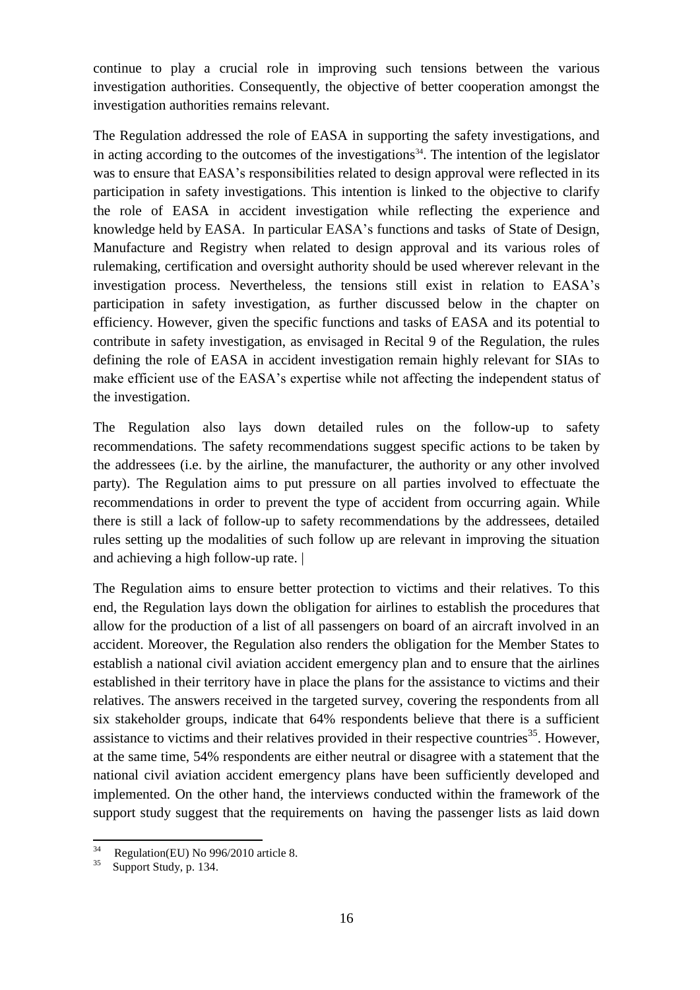continue to play a crucial role in improving such tensions between the various investigation authorities. Consequently, the objective of better cooperation amongst the investigation authorities remains relevant.

The Regulation addressed the role of EASA in supporting the safety investigations, and in acting according to the outcomes of the investigations<sup>34</sup>. The intention of the legislator was to ensure that EASA's responsibilities related to design approval were reflected in its participation in safety investigations. This intention is linked to the objective to clarify the role of EASA in accident investigation while reflecting the experience and knowledge held by EASA. In particular EASA's functions and tasks of State of Design, Manufacture and Registry when related to design approval and its various roles of rulemaking, certification and oversight authority should be used wherever relevant in the investigation process. Nevertheless, the tensions still exist in relation to EASA's participation in safety investigation, as further discussed below in the chapter on efficiency. However, given the specific functions and tasks of EASA and its potential to contribute in safety investigation, as envisaged in Recital 9 of the Regulation, the rules defining the role of EASA in accident investigation remain highly relevant for SIAs to make efficient use of the EASA's expertise while not affecting the independent status of the investigation.

The Regulation also lays down detailed rules on the follow-up to safety recommendations. The safety recommendations suggest specific actions to be taken by the addressees (i.e. by the airline, the manufacturer, the authority or any other involved party). The Regulation aims to put pressure on all parties involved to effectuate the recommendations in order to prevent the type of accident from occurring again. While there is still a lack of follow-up to safety recommendations by the addressees, detailed rules setting up the modalities of such follow up are relevant in improving the situation and achieving a high follow-up rate. |

The Regulation aims to ensure better protection to victims and their relatives. To this end, the Regulation lays down the obligation for airlines to establish the procedures that allow for the production of a list of all passengers on board of an aircraft involved in an accident. Moreover, the Regulation also renders the obligation for the Member States to establish a national civil aviation accident emergency plan and to ensure that the airlines established in their territory have in place the plans for the assistance to victims and their relatives. The answers received in the targeted survey, covering the respondents from all six stakeholder groups, indicate that 64% respondents believe that there is a sufficient assistance to victims and their relatives provided in their respective countries<sup>35</sup>. However, at the same time, 54% respondents are either neutral or disagree with a statement that the national civil aviation accident emergency plans have been sufficiently developed and implemented. On the other hand, the interviews conducted within the framework of the support study suggest that the requirements on having the passenger lists as laid down

 $34$ Regulation(EU) No 996/2010 article 8.

<sup>35</sup> Support Study, p. 134.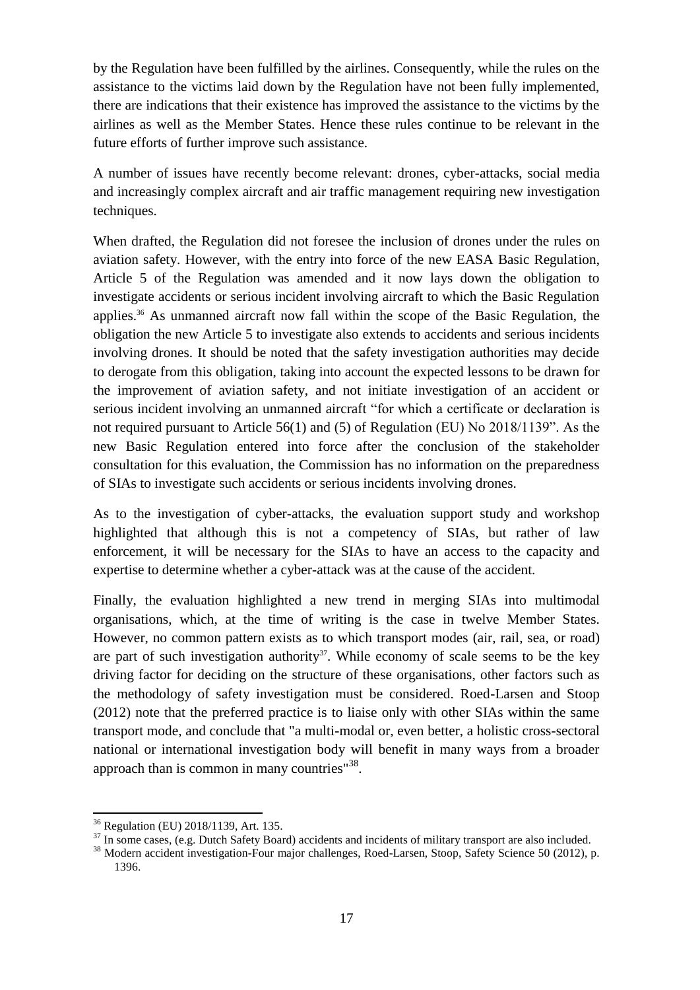by the Regulation have been fulfilled by the airlines. Consequently, while the rules on the assistance to the victims laid down by the Regulation have not been fully implemented, there are indications that their existence has improved the assistance to the victims by the airlines as well as the Member States. Hence these rules continue to be relevant in the future efforts of further improve such assistance.

A number of issues have recently become relevant: drones, cyber-attacks, social media and increasingly complex aircraft and air traffic management requiring new investigation techniques.

When drafted, the Regulation did not foresee the inclusion of drones under the rules on aviation safety. However, with the entry into force of the new EASA Basic Regulation, Article 5 of the Regulation was amended and it now lays down the obligation to investigate accidents or serious incident involving aircraft to which the Basic Regulation applies. <sup>36</sup> As unmanned aircraft now fall within the scope of the Basic Regulation, the obligation the new Article 5 to investigate also extends to accidents and serious incidents involving drones. It should be noted that the safety investigation authorities may decide to derogate from this obligation, taking into account the expected lessons to be drawn for the improvement of aviation safety, and not initiate investigation of an accident or serious incident involving an unmanned aircraft "for which a certificate or declaration is not required pursuant to Article 56(1) and (5) of Regulation (EU) No 2018/1139". As the new Basic Regulation entered into force after the conclusion of the stakeholder consultation for this evaluation, the Commission has no information on the preparedness of SIAs to investigate such accidents or serious incidents involving drones.

As to the investigation of cyber-attacks, the evaluation support study and workshop highlighted that although this is not a competency of SIAs, but rather of law enforcement, it will be necessary for the SIAs to have an access to the capacity and expertise to determine whether a cyber-attack was at the cause of the accident.

Finally, the evaluation highlighted a new trend in merging SIAs into multimodal organisations, which, at the time of writing is the case in twelve Member States. However, no common pattern exists as to which transport modes (air, rail, sea, or road) are part of such investigation authority<sup>37</sup>. While economy of scale seems to be the key driving factor for deciding on the structure of these organisations, other factors such as the methodology of safety investigation must be considered. Roed-Larsen and Stoop (2012) note that the preferred practice is to liaise only with other SIAs within the same transport mode, and conclude that "a multi-modal or, even better, a holistic cross-sectoral national or international investigation body will benefit in many ways from a broader approach than is common in many countries" $38$ .

 $\overline{a}$ 

<sup>36</sup> Regulation (EU) 2018/1139, Art. 135.

<sup>&</sup>lt;sup>37</sup> In some cases, (e.g. Dutch Safety Board) accidents and incidents of military transport are also included.

<sup>&</sup>lt;sup>38</sup> Modern accident investigation-Four major challenges, Roed-Larsen, Stoop, Safety Science 50 (2012), p. 1396.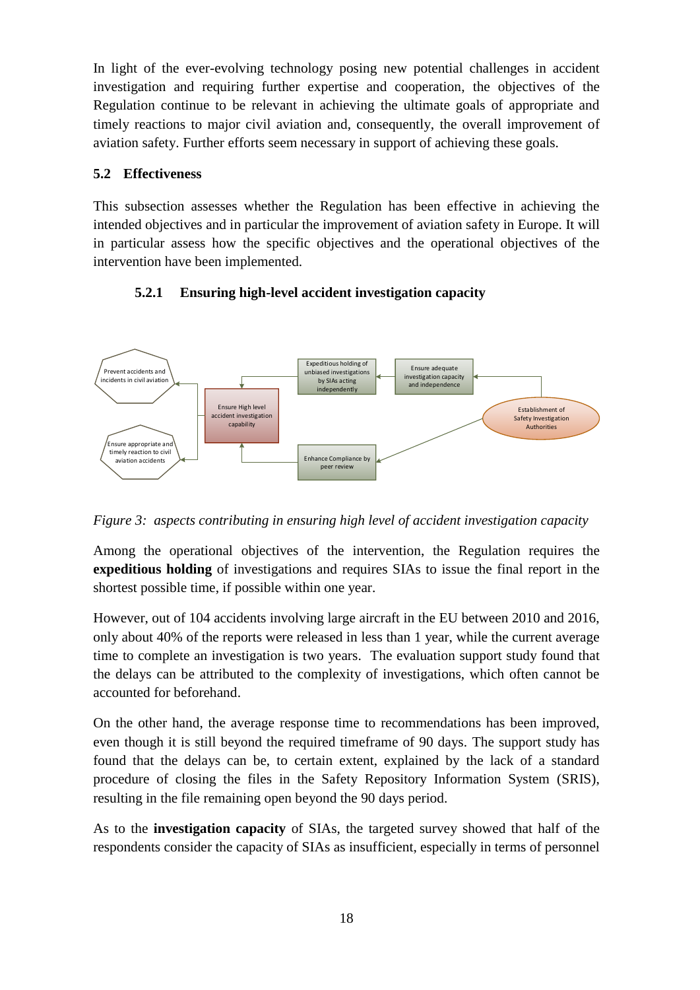In light of the ever-evolving technology posing new potential challenges in accident investigation and requiring further expertise and cooperation, the objectives of the Regulation continue to be relevant in achieving the ultimate goals of appropriate and timely reactions to major civil aviation and, consequently, the overall improvement of aviation safety. Further efforts seem necessary in support of achieving these goals.

# <span id="page-17-0"></span>**5.2 Effectiveness**

This subsection assesses whether the Regulation has been effective in achieving the intended objectives and in particular the improvement of aviation safety in Europe. It will in particular assess how the specific objectives and the operational objectives of the intervention have been implemented.

# <span id="page-17-1"></span>**5.2.1 Ensuring high-level accident investigation capacity**



*Figure 3: aspects contributing in ensuring high level of accident investigation capacity*

Among the operational objectives of the intervention, the Regulation requires the **expeditious holding** of investigations and requires SIAs to issue the final report in the shortest possible time, if possible within one year.

However, out of 104 accidents involving large aircraft in the EU between 2010 and 2016, only about 40% of the reports were released in less than 1 year, while the current average time to complete an investigation is two years. The evaluation support study found that the delays can be attributed to the complexity of investigations, which often cannot be accounted for beforehand.

On the other hand, the average response time to recommendations has been improved, even though it is still beyond the required timeframe of 90 days. The support study has found that the delays can be, to certain extent, explained by the lack of a standard procedure of closing the files in the Safety Repository Information System (SRIS), resulting in the file remaining open beyond the 90 days period.

As to the **investigation capacity** of SIAs, the targeted survey showed that half of the respondents consider the capacity of SIAs as insufficient, especially in terms of personnel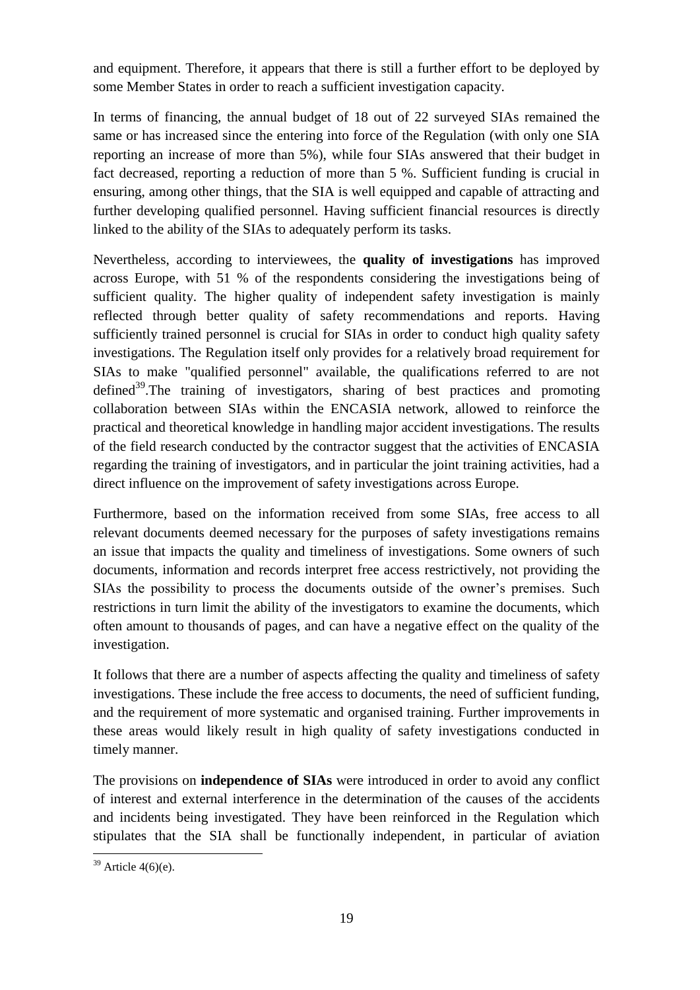and equipment. Therefore, it appears that there is still a further effort to be deployed by some Member States in order to reach a sufficient investigation capacity.

In terms of financing, the annual budget of 18 out of 22 surveyed SIAs remained the same or has increased since the entering into force of the Regulation (with only one SIA reporting an increase of more than 5%), while four SIAs answered that their budget in fact decreased, reporting a reduction of more than 5 %. Sufficient funding is crucial in ensuring, among other things, that the SIA is well equipped and capable of attracting and further developing qualified personnel. Having sufficient financial resources is directly linked to the ability of the SIAs to adequately perform its tasks.

Nevertheless, according to interviewees, the **quality of investigations** has improved across Europe, with 51 % of the respondents considering the investigations being of sufficient quality. The higher quality of independent safety investigation is mainly reflected through better quality of safety recommendations and reports. Having sufficiently trained personnel is crucial for SIAs in order to conduct high quality safety investigations. The Regulation itself only provides for a relatively broad requirement for SIAs to make "qualified personnel" available, the qualifications referred to are not defined<sup>39</sup>. The training of investigators, sharing of best practices and promoting collaboration between SIAs within the ENCASIA network, allowed to reinforce the practical and theoretical knowledge in handling major accident investigations. The results of the field research conducted by the contractor suggest that the activities of ENCASIA regarding the training of investigators, and in particular the joint training activities, had a direct influence on the improvement of safety investigations across Europe.

Furthermore, based on the information received from some SIAs, free access to all relevant documents deemed necessary for the purposes of safety investigations remains an issue that impacts the quality and timeliness of investigations. Some owners of such documents, information and records interpret free access restrictively, not providing the SIAs the possibility to process the documents outside of the owner's premises. Such restrictions in turn limit the ability of the investigators to examine the documents, which often amount to thousands of pages, and can have a negative effect on the quality of the investigation.

It follows that there are a number of aspects affecting the quality and timeliness of safety investigations. These include the free access to documents, the need of sufficient funding, and the requirement of more systematic and organised training. Further improvements in these areas would likely result in high quality of safety investigations conducted in timely manner.

The provisions on **independence of SIAs** were introduced in order to avoid any conflict of interest and external interference in the determination of the causes of the accidents and incidents being investigated. They have been reinforced in the Regulation which stipulates that the SIA shall be functionally independent, in particular of aviation

 $\overline{a}$  $39$  Article 4(6)(e).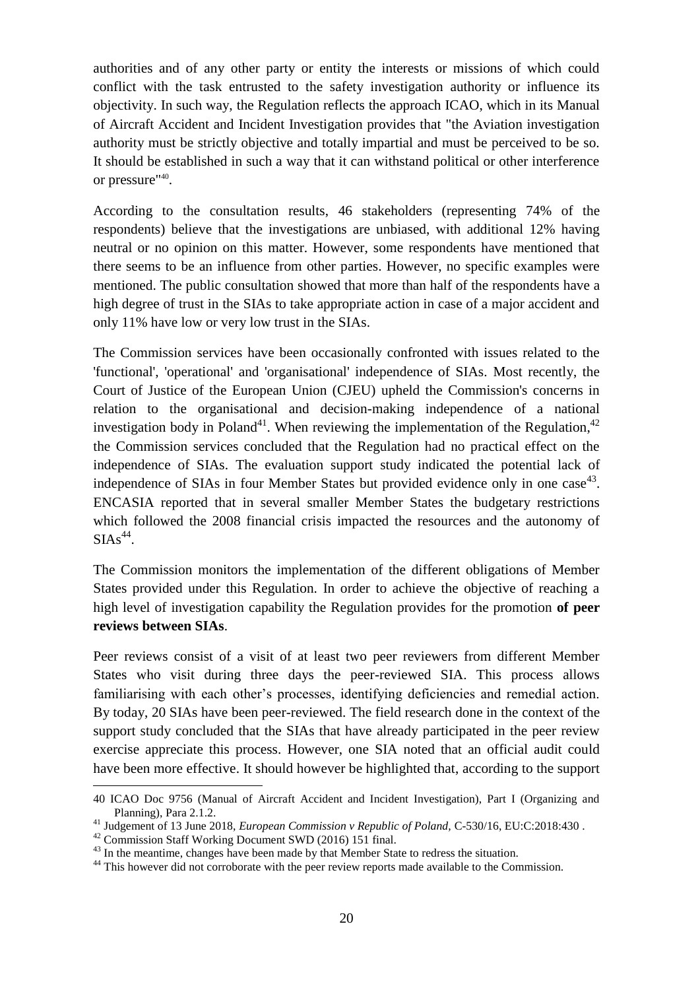authorities and of any other party or entity the interests or missions of which could conflict with the task entrusted to the safety investigation authority or influence its objectivity. In such way, the Regulation reflects the approach ICAO, which in its Manual of Aircraft Accident and Incident Investigation provides that "the Aviation investigation authority must be strictly objective and totally impartial and must be perceived to be so. It should be established in such a way that it can withstand political or other interference or pressure"<sup>40</sup>.

According to the consultation results, 46 stakeholders (representing 74% of the respondents) believe that the investigations are unbiased, with additional 12% having neutral or no opinion on this matter. However, some respondents have mentioned that there seems to be an influence from other parties. However, no specific examples were mentioned. The public consultation showed that more than half of the respondents have a high degree of trust in the SIAs to take appropriate action in case of a major accident and only 11% have low or very low trust in the SIAs.

The Commission services have been occasionally confronted with issues related to the 'functional', 'operational' and 'organisational' independence of SIAs. Most recently, the Court of Justice of the European Union (CJEU) upheld the Commission's concerns in relation to the organisational and decision-making independence of a national investigation body in Poland<sup>41</sup>. When reviewing the implementation of the Regulation,<sup>42</sup> the Commission services concluded that the Regulation had no practical effect on the independence of SIAs. The evaluation support study indicated the potential lack of independence of SIAs in four Member States but provided evidence only in one case<sup>43</sup>. ENCASIA reported that in several smaller Member States the budgetary restrictions which followed the 2008 financial crisis impacted the resources and the autonomy of  $SIAS^{44}$ .

The Commission monitors the implementation of the different obligations of Member States provided under this Regulation. In order to achieve the objective of reaching a high level of investigation capability the Regulation provides for the promotion **of peer reviews between SIAs**.

Peer reviews consist of a visit of at least two peer reviewers from different Member States who visit during three days the peer-reviewed SIA. This process allows familiarising with each other's processes, identifying deficiencies and remedial action. By today, 20 SIAs have been peer-reviewed. The field research done in the context of the support study concluded that the SIAs that have already participated in the peer review exercise appreciate this process. However, one SIA noted that an official audit could have been more effective. It should however be highlighted that, according to the support

 $\overline{a}$ 

<sup>40</sup> ICAO Doc 9756 (Manual of Aircraft Accident and Incident Investigation), Part I (Organizing and Planning), Para 2.1.2.

<sup>41</sup> Judgement of 13 June 2018, *European Commission v Republic of Poland,* C-530/16, EU:C:2018:430 .

<sup>42</sup> Commission Staff Working Document SWD (2016) 151 final.

<sup>&</sup>lt;sup>43</sup> In the meantime, changes have been made by that Member State to redress the situation.

<sup>&</sup>lt;sup>44</sup> This however did not corroborate with the peer review reports made available to the Commission.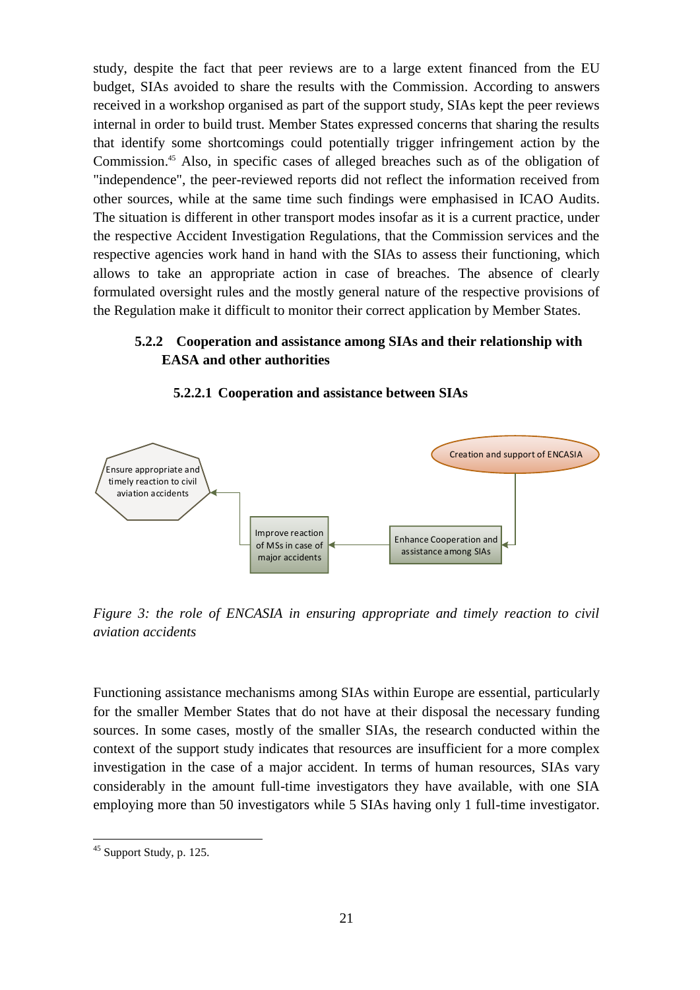study, despite the fact that peer reviews are to a large extent financed from the EU budget, SIAs avoided to share the results with the Commission. According to answers received in a workshop organised as part of the support study, SIAs kept the peer reviews internal in order to build trust. Member States expressed concerns that sharing the results that identify some shortcomings could potentially trigger infringement action by the Commission. <sup>45</sup> Also, in specific cases of alleged breaches such as of the obligation of "independence", the peer-reviewed reports did not reflect the information received from other sources, while at the same time such findings were emphasised in ICAO Audits. The situation is different in other transport modes insofar as it is a current practice, under the respective Accident Investigation Regulations, that the Commission services and the respective agencies work hand in hand with the SIAs to assess their functioning, which allows to take an appropriate action in case of breaches. The absence of clearly formulated oversight rules and the mostly general nature of the respective provisions of the Regulation make it difficult to monitor their correct application by Member States.

# <span id="page-20-0"></span>**5.2.2 Cooperation and assistance among SIAs and their relationship with EASA and other authorities**



#### **5.2.2.1 Cooperation and assistance between SIAs**

*Figure 3: the role of ENCASIA in ensuring appropriate and timely reaction to civil aviation accidents*

Functioning assistance mechanisms among SIAs within Europe are essential, particularly for the smaller Member States that do not have at their disposal the necessary funding sources. In some cases, mostly of the smaller SIAs, the research conducted within the context of the support study indicates that resources are insufficient for a more complex investigation in the case of a major accident. In terms of human resources, SIAs vary considerably in the amount full-time investigators they have available, with one SIA employing more than 50 investigators while 5 SIAs having only 1 full-time investigator.

 $\overline{a}$ 

 $45$  Support Study, p. 125.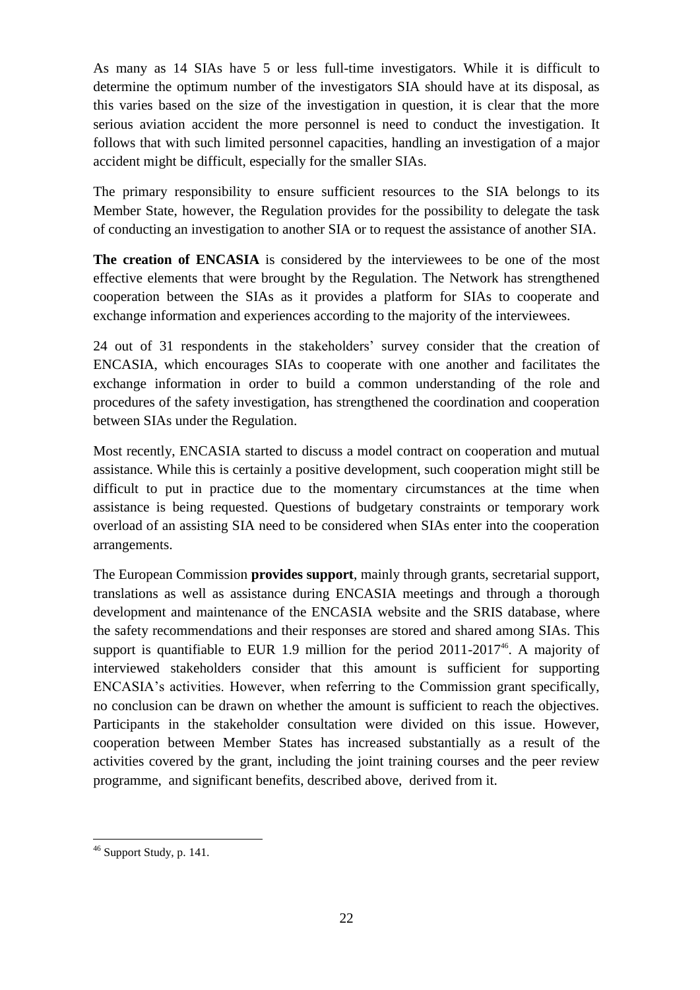As many as 14 SIAs have 5 or less full-time investigators. While it is difficult to determine the optimum number of the investigators SIA should have at its disposal, as this varies based on the size of the investigation in question, it is clear that the more serious aviation accident the more personnel is need to conduct the investigation. It follows that with such limited personnel capacities, handling an investigation of a major accident might be difficult, especially for the smaller SIAs.

The primary responsibility to ensure sufficient resources to the SIA belongs to its Member State, however, the Regulation provides for the possibility to delegate the task of conducting an investigation to another SIA or to request the assistance of another SIA.

**The creation of ENCASIA** is considered by the interviewees to be one of the most effective elements that were brought by the Regulation. The Network has strengthened cooperation between the SIAs as it provides a platform for SIAs to cooperate and exchange information and experiences according to the majority of the interviewees.

24 out of 31 respondents in the stakeholders' survey consider that the creation of ENCASIA, which encourages SIAs to cooperate with one another and facilitates the exchange information in order to build a common understanding of the role and procedures of the safety investigation, has strengthened the coordination and cooperation between SIAs under the Regulation.

Most recently, ENCASIA started to discuss a model contract on cooperation and mutual assistance. While this is certainly a positive development, such cooperation might still be difficult to put in practice due to the momentary circumstances at the time when assistance is being requested. Questions of budgetary constraints or temporary work overload of an assisting SIA need to be considered when SIAs enter into the cooperation arrangements.

The European Commission **provides support**, mainly through grants, secretarial support, translations as well as assistance during ENCASIA meetings and through a thorough development and maintenance of the ENCASIA website and the SRIS database, where the safety recommendations and their responses are stored and shared among SIAs. This support is quantifiable to EUR 1.9 million for the period  $2011-2017<sup>46</sup>$ . A majority of interviewed stakeholders consider that this amount is sufficient for supporting ENCASIA's activities. However, when referring to the Commission grant specifically, no conclusion can be drawn on whether the amount is sufficient to reach the objectives. Participants in the stakeholder consultation were divided on this issue. However, cooperation between Member States has increased substantially as a result of the activities covered by the grant, including the joint training courses and the peer review programme, and significant benefits, described above, derived from it.

 $\overline{a}$  $46$  Support Study, p. 141.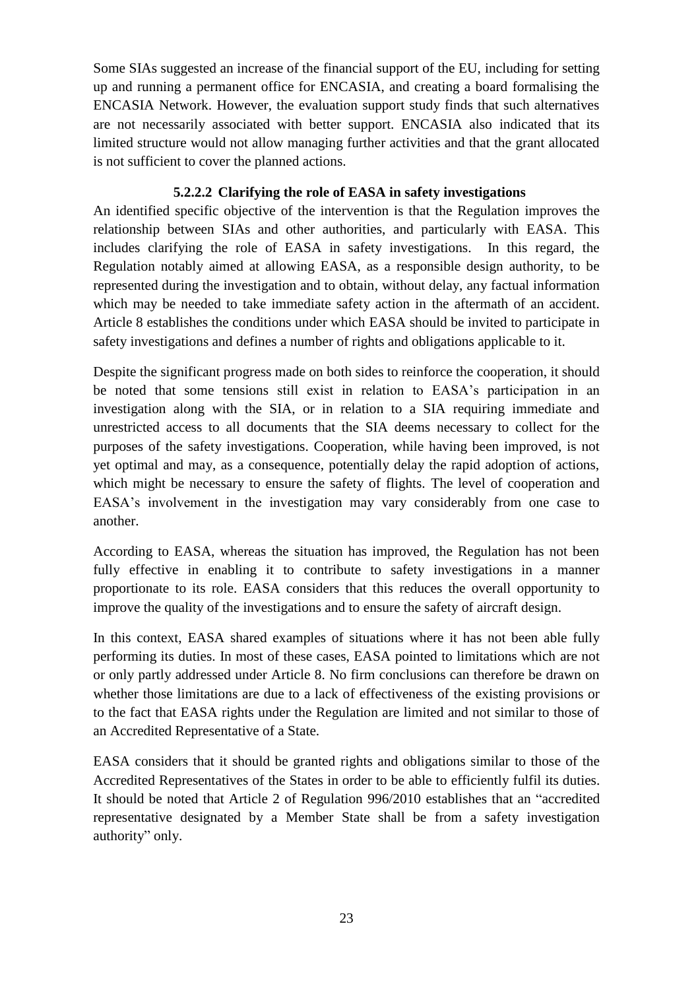Some SIAs suggested an increase of the financial support of the EU, including for setting up and running a permanent office for ENCASIA, and creating a board formalising the ENCASIA Network. However, the evaluation support study finds that such alternatives are not necessarily associated with better support. ENCASIA also indicated that its limited structure would not allow managing further activities and that the grant allocated is not sufficient to cover the planned actions.

# **5.2.2.2 Clarifying the role of EASA in safety investigations**

An identified specific objective of the intervention is that the Regulation improves the relationship between SIAs and other authorities, and particularly with EASA. This includes clarifying the role of EASA in safety investigations. In this regard, the Regulation notably aimed at allowing EASA, as a responsible design authority, to be represented during the investigation and to obtain, without delay, any factual information which may be needed to take immediate safety action in the aftermath of an accident. Article 8 establishes the conditions under which EASA should be invited to participate in safety investigations and defines a number of rights and obligations applicable to it.

Despite the significant progress made on both sides to reinforce the cooperation, it should be noted that some tensions still exist in relation to EASA's participation in an investigation along with the SIA, or in relation to a SIA requiring immediate and unrestricted access to all documents that the SIA deems necessary to collect for the purposes of the safety investigations. Cooperation, while having been improved, is not yet optimal and may, as a consequence, potentially delay the rapid adoption of actions, which might be necessary to ensure the safety of flights. The level of cooperation and EASA's involvement in the investigation may vary considerably from one case to another.

According to EASA, whereas the situation has improved, the Regulation has not been fully effective in enabling it to contribute to safety investigations in a manner proportionate to its role. EASA considers that this reduces the overall opportunity to improve the quality of the investigations and to ensure the safety of aircraft design.

In this context, EASA shared examples of situations where it has not been able fully performing its duties. In most of these cases, EASA pointed to limitations which are not or only partly addressed under Article 8. No firm conclusions can therefore be drawn on whether those limitations are due to a lack of effectiveness of the existing provisions or to the fact that EASA rights under the Regulation are limited and not similar to those of an Accredited Representative of a State.

EASA considers that it should be granted rights and obligations similar to those of the Accredited Representatives of the States in order to be able to efficiently fulfil its duties. It should be noted that Article 2 of Regulation 996/2010 establishes that an "accredited representative designated by a Member State shall be from a safety investigation authority" only.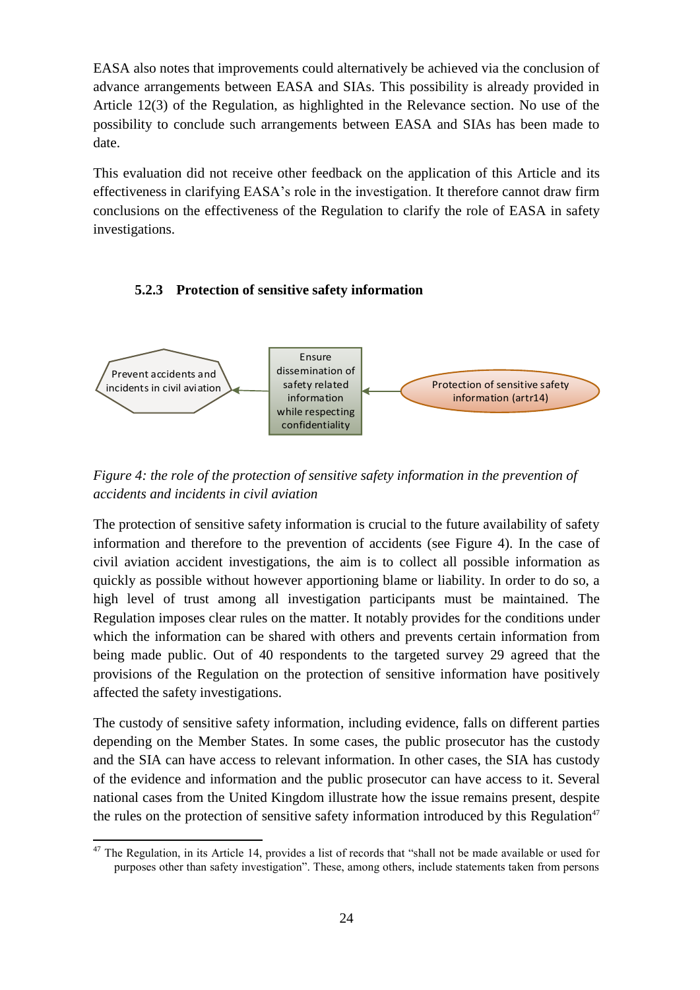EASA also notes that improvements could alternatively be achieved via the conclusion of advance arrangements between EASA and SIAs. This possibility is already provided in Article 12(3) of the Regulation, as highlighted in the Relevance section. No use of the possibility to conclude such arrangements between EASA and SIAs has been made to date.

This evaluation did not receive other feedback on the application of this Article and its effectiveness in clarifying EASA's role in the investigation. It therefore cannot draw firm conclusions on the effectiveness of the Regulation to clarify the role of EASA in safety investigations.

# <span id="page-23-0"></span>**5.2.3 Protection of sensitive safety information**



*Figure 4: the role of the protection of sensitive safety information in the prevention of accidents and incidents in civil aviation*

The protection of sensitive safety information is crucial to the future availability of safety information and therefore to the prevention of accidents (see Figure 4). In the case of civil aviation accident investigations, the aim is to collect all possible information as quickly as possible without however apportioning blame or liability. In order to do so, a high level of trust among all investigation participants must be maintained. The Regulation imposes clear rules on the matter. It notably provides for the conditions under which the information can be shared with others and prevents certain information from being made public. Out of 40 respondents to the targeted survey 29 agreed that the provisions of the Regulation on the protection of sensitive information have positively affected the safety investigations.

The custody of sensitive safety information, including evidence, falls on different parties depending on the Member States. In some cases, the public prosecutor has the custody and the SIA can have access to relevant information. In other cases, the SIA has custody of the evidence and information and the public prosecutor can have access to it. Several national cases from the United Kingdom illustrate how the issue remains present, despite the rules on the protection of sensitive safety information introduced by this Regulation<sup>47</sup>

 $\overline{a}$  $47$  The Regulation, in its Article 14, provides a list of records that "shall not be made available or used for purposes other than safety investigation". These, among others, include statements taken from persons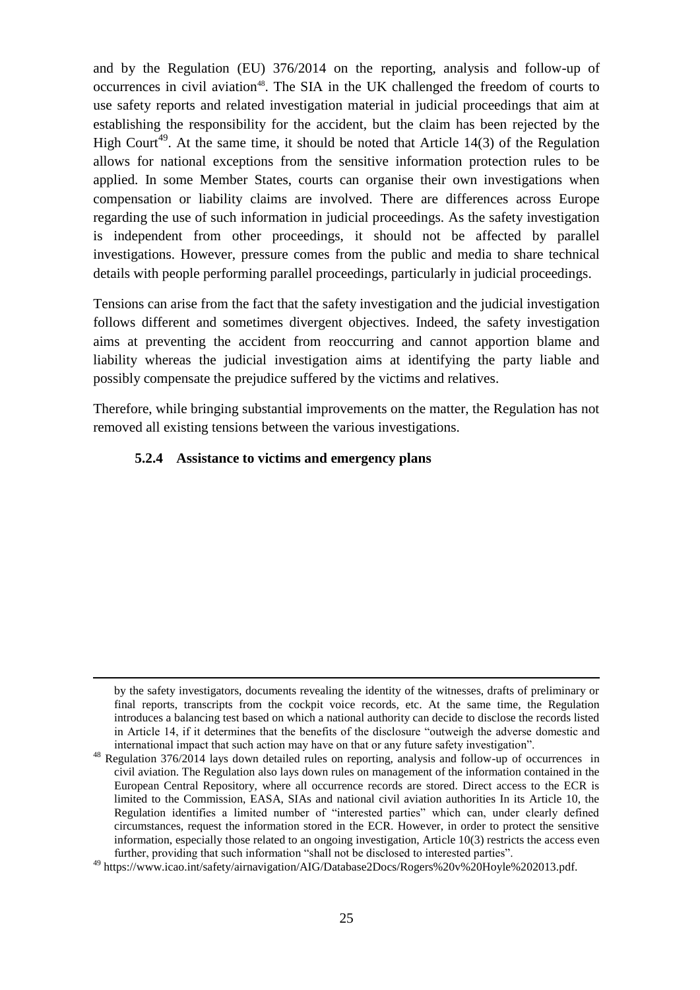and by the Regulation (EU) 376/2014 on the reporting, analysis and follow-up of occurrences in civil aviation<sup>48</sup>. The SIA in the UK challenged the freedom of courts to use safety reports and related investigation material in judicial proceedings that aim at establishing the responsibility for the accident, but the claim has been rejected by the High Court<sup>49</sup>. At the same time, it should be noted that Article  $14(3)$  of the Regulation allows for national exceptions from the sensitive information protection rules to be applied. In some Member States, courts can organise their own investigations when compensation or liability claims are involved. There are differences across Europe regarding the use of such information in judicial proceedings. As the safety investigation is independent from other proceedings, it should not be affected by parallel investigations. However, pressure comes from the public and media to share technical details with people performing parallel proceedings, particularly in judicial proceedings.

Tensions can arise from the fact that the safety investigation and the judicial investigation follows different and sometimes divergent objectives. Indeed, the safety investigation aims at preventing the accident from reoccurring and cannot apportion blame and liability whereas the judicial investigation aims at identifying the party liable and possibly compensate the prejudice suffered by the victims and relatives.

Therefore, while bringing substantial improvements on the matter, the Regulation has not removed all existing tensions between the various investigations.

### <span id="page-24-0"></span>**5.2.4 Assistance to victims and emergency plans**

 $\overline{a}$ 

by the safety investigators, documents revealing the identity of the witnesses, drafts of preliminary or final reports, transcripts from the cockpit voice records, etc. At the same time, the Regulation introduces a balancing test based on which a national authority can decide to disclose the records listed in Article 14, if it determines that the benefits of the disclosure "outweigh the adverse domestic and international impact that such action may have on that or any future safety investigation".

<sup>48</sup> Regulation 376/2014 lays down detailed rules on reporting, analysis and follow-up of occurrences in civil aviation. The Regulation also lays down rules on management of the information contained in the European Central Repository, where all occurrence records are stored. Direct access to the ECR is limited to the Commission, EASA, SIAs and national civil aviation authorities In its Article 10, the Regulation identifies a limited number of "interested parties" which can, under clearly defined circumstances, request the information stored in the ECR. However, in order to protect the sensitive information, especially those related to an ongoing investigation, Article 10(3) restricts the access even further, providing that such information "shall not be disclosed to interested parties".

<sup>49</sup> https://www.icao.int/safety/airnavigation/AIG/Database2Docs/Rogers%20v%20Hoyle%202013.pdf.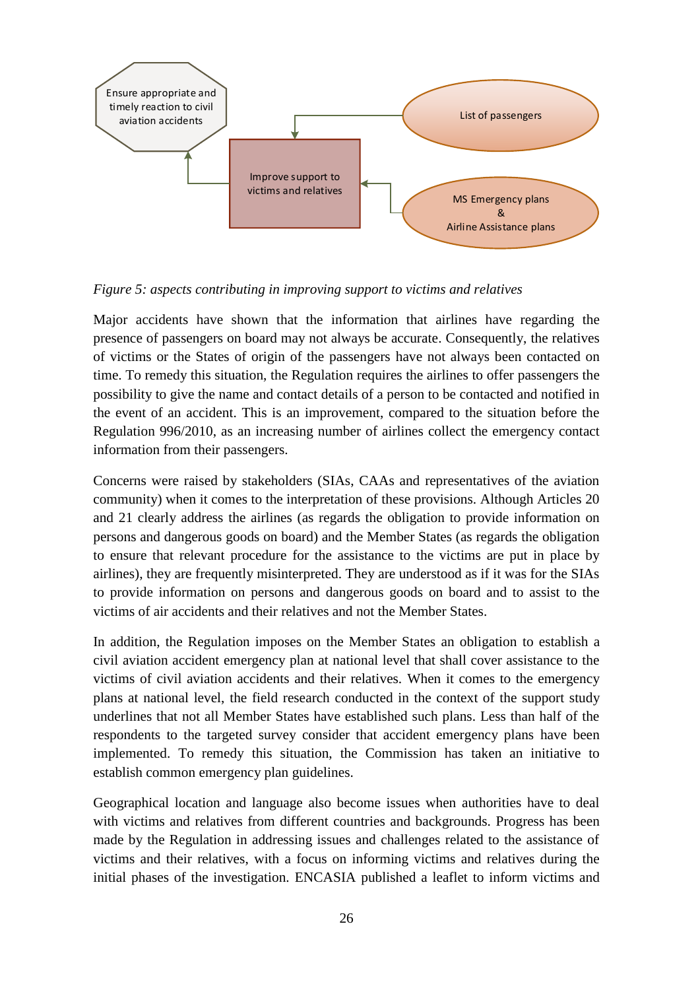

*Figure 5: aspects contributing in improving support to victims and relatives*

Major accidents have shown that the information that airlines have regarding the presence of passengers on board may not always be accurate. Consequently, the relatives of victims or the States of origin of the passengers have not always been contacted on time. To remedy this situation, the Regulation requires the airlines to offer passengers the possibility to give the name and contact details of a person to be contacted and notified in the event of an accident. This is an improvement, compared to the situation before the Regulation 996/2010, as an increasing number of airlines collect the emergency contact information from their passengers.

Concerns were raised by stakeholders (SIAs, CAAs and representatives of the aviation community) when it comes to the interpretation of these provisions. Although Articles 20 and 21 clearly address the airlines (as regards the obligation to provide information on persons and dangerous goods on board) and the Member States (as regards the obligation to ensure that relevant procedure for the assistance to the victims are put in place by airlines), they are frequently misinterpreted. They are understood as if it was for the SIAs to provide information on persons and dangerous goods on board and to assist to the victims of air accidents and their relatives and not the Member States.

In addition, the Regulation imposes on the Member States an obligation to establish a civil aviation accident emergency plan at national level that shall cover assistance to the victims of civil aviation accidents and their relatives. When it comes to the emergency plans at national level, the field research conducted in the context of the support study underlines that not all Member States have established such plans. Less than half of the respondents to the targeted survey consider that accident emergency plans have been implemented. To remedy this situation, the Commission has taken an initiative to establish common emergency plan guidelines.

Geographical location and language also become issues when authorities have to deal with victims and relatives from different countries and backgrounds. Progress has been made by the Regulation in addressing issues and challenges related to the assistance of victims and their relatives, with a focus on informing victims and relatives during the initial phases of the investigation. ENCASIA published a leaflet to inform victims and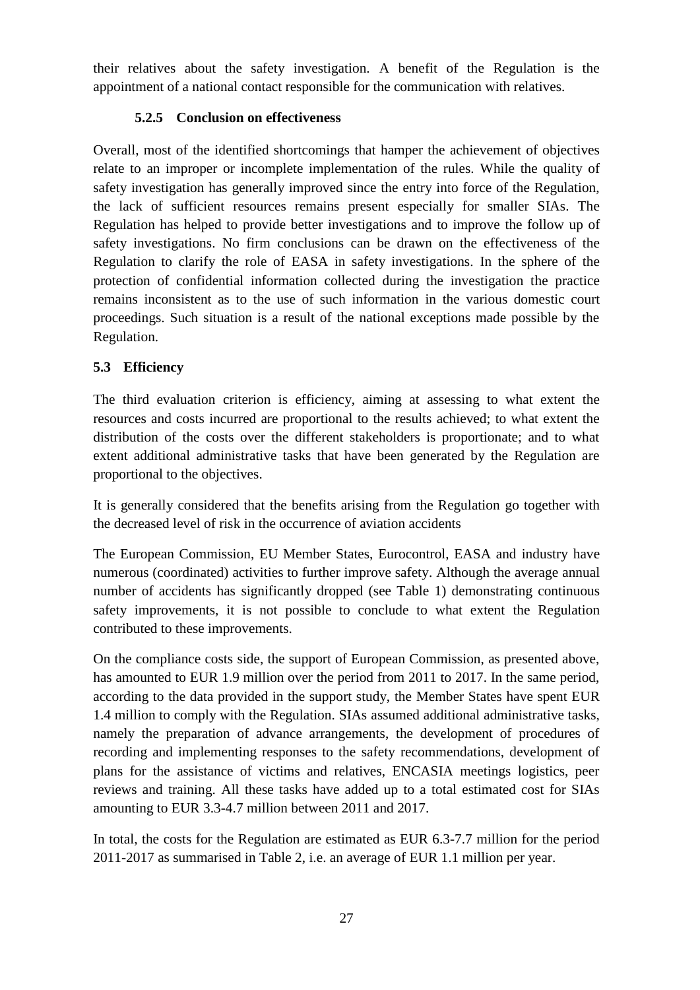their relatives about the safety investigation. A benefit of the Regulation is the appointment of a national contact responsible for the communication with relatives.

# **5.2.5 Conclusion on effectiveness**

<span id="page-26-0"></span>Overall, most of the identified shortcomings that hamper the achievement of objectives relate to an improper or incomplete implementation of the rules. While the quality of safety investigation has generally improved since the entry into force of the Regulation, the lack of sufficient resources remains present especially for smaller SIAs. The Regulation has helped to provide better investigations and to improve the follow up of safety investigations. No firm conclusions can be drawn on the effectiveness of the Regulation to clarify the role of EASA in safety investigations. In the sphere of the protection of confidential information collected during the investigation the practice remains inconsistent as to the use of such information in the various domestic court proceedings. Such situation is a result of the national exceptions made possible by the Regulation.

# <span id="page-26-1"></span>**5.3 Efficiency**

The third evaluation criterion is efficiency, aiming at assessing to what extent the resources and costs incurred are proportional to the results achieved; to what extent the distribution of the costs over the different stakeholders is proportionate; and to what extent additional administrative tasks that have been generated by the Regulation are proportional to the objectives.

It is generally considered that the benefits arising from the Regulation go together with the decreased level of risk in the occurrence of aviation accidents

The European Commission, EU Member States, Eurocontrol, EASA and industry have numerous (coordinated) activities to further improve safety. Although the average annual number of accidents has significantly dropped (see Table 1) demonstrating continuous safety improvements, it is not possible to conclude to what extent the Regulation contributed to these improvements.

On the compliance costs side, the support of European Commission, as presented above, has amounted to EUR 1.9 million over the period from 2011 to 2017. In the same period, according to the data provided in the support study, the Member States have spent EUR 1.4 million to comply with the Regulation. SIAs assumed additional administrative tasks, namely the preparation of advance arrangements, the development of procedures of recording and implementing responses to the safety recommendations, development of plans for the assistance of victims and relatives, ENCASIA meetings logistics, peer reviews and training. All these tasks have added up to a total estimated cost for SIAs amounting to EUR 3.3-4.7 million between 2011 and 2017.

In total, the costs for the Regulation are estimated as EUR 6.3-7.7 million for the period 2011-2017 as summarised in Table 2, i.e. an average of EUR 1.1 million per year.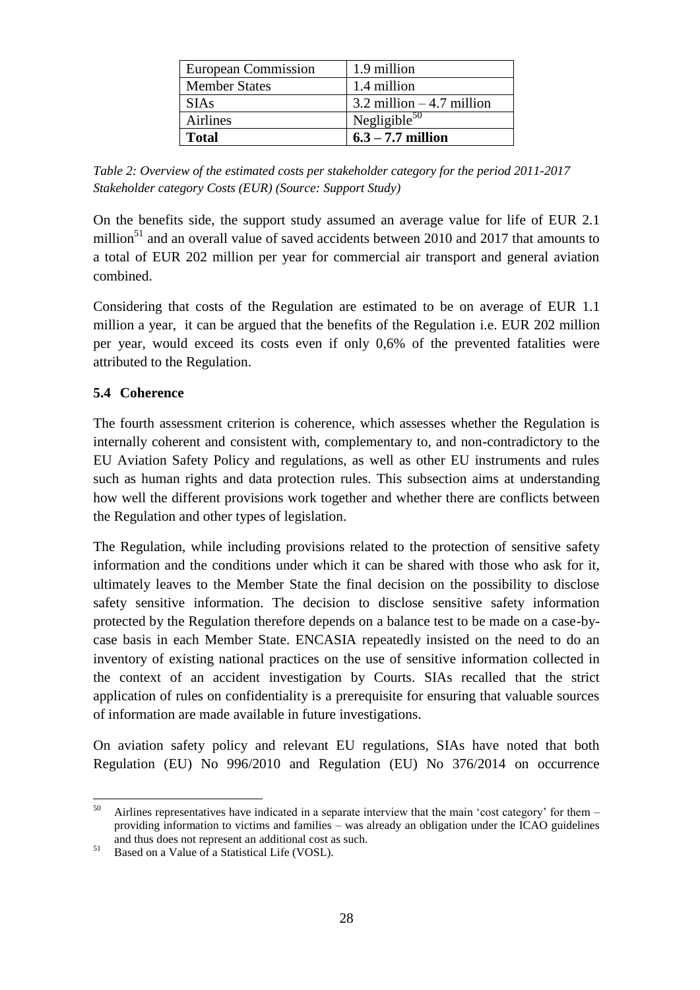| European Commission  | 1.9 million                  |
|----------------------|------------------------------|
| <b>Member States</b> | 1.4 million                  |
| <b>SIAs</b>          | $3.2$ million $-4.7$ million |
| <b>Airlines</b>      | Negligible $50$              |
| Total                | $6.3 - 7.7$ million          |

*Table 2: Overview of the estimated costs per stakeholder category for the period 2011-2017 Stakeholder category Costs (EUR) (Source: Support Study)*

On the benefits side, the support study assumed an average value for life of EUR 2.1 million<sup>51</sup> and an overall value of saved accidents between 2010 and 2017 that amounts to a total of EUR 202 million per year for commercial air transport and general aviation combined.

Considering that costs of the Regulation are estimated to be on average of EUR 1.1 million a year, it can be argued that the benefits of the Regulation i.e. EUR 202 million per year, would exceed its costs even if only 0,6% of the prevented fatalities were attributed to the Regulation.

# <span id="page-27-0"></span>**5.4 Coherence**

The fourth assessment criterion is coherence, which assesses whether the Regulation is internally coherent and consistent with, complementary to, and non-contradictory to the EU Aviation Safety Policy and regulations, as well as other EU instruments and rules such as human rights and data protection rules. This subsection aims at understanding how well the different provisions work together and whether there are conflicts between the Regulation and other types of legislation.

The Regulation, while including provisions related to the protection of sensitive safety information and the conditions under which it can be shared with those who ask for it, ultimately leaves to the Member State the final decision on the possibility to disclose safety sensitive information. The decision to disclose sensitive safety information protected by the Regulation therefore depends on a balance test to be made on a case-bycase basis in each Member State. ENCASIA repeatedly insisted on the need to do an inventory of existing national practices on the use of sensitive information collected in the context of an accident investigation by Courts. SIAs recalled that the strict application of rules on confidentiality is a prerequisite for ensuring that valuable sources of information are made available in future investigations.

On aviation safety policy and relevant EU regulations, SIAs have noted that both Regulation (EU) No 996/2010 and Regulation (EU) No 376/2014 on occurrence

<sup>50</sup> <sup>50</sup> Airlines representatives have indicated in a separate interview that the main 'cost category' for them – providing information to victims and families – was already an obligation under the ICAO guidelines and thus does not represent an additional cost as such.

<sup>&</sup>lt;sup>51</sup> Based on a Value of a Statistical Life (VOSL).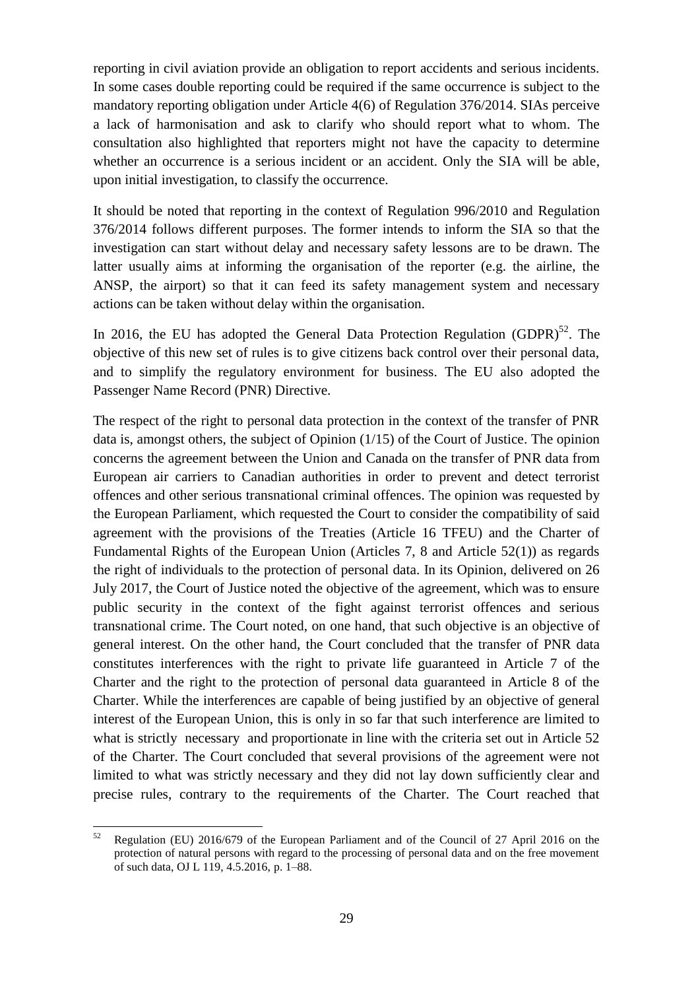reporting in civil aviation provide an obligation to report accidents and serious incidents. In some cases double reporting could be required if the same occurrence is subject to the mandatory reporting obligation under Article 4(6) of Regulation 376/2014. SIAs perceive a lack of harmonisation and ask to clarify who should report what to whom. The consultation also highlighted that reporters might not have the capacity to determine whether an occurrence is a serious incident or an accident. Only the SIA will be able, upon initial investigation, to classify the occurrence.

It should be noted that reporting in the context of Regulation 996/2010 and Regulation 376/2014 follows different purposes. The former intends to inform the SIA so that the investigation can start without delay and necessary safety lessons are to be drawn. The latter usually aims at informing the organisation of the reporter (e.g. the airline, the ANSP, the airport) so that it can feed its safety management system and necessary actions can be taken without delay within the organisation.

In 2016, the EU has adopted the General Data Protection Regulation (GDPR) $^{52}$ . The objective of this new set of rules is to give citizens back control over their personal data, and to simplify the regulatory environment for business. The EU also adopted the Passenger Name Record (PNR) Directive.

The respect of the right to personal data protection in the context of the transfer of PNR data is, amongst others, the subject of Opinion (1/15) of the Court of Justice. The opinion concerns the agreement between the Union and Canada on the transfer of PNR data from European air carriers to Canadian authorities in order to prevent and detect terrorist offences and other serious transnational criminal offences. The opinion was requested by the European Parliament, which requested the Court to consider the compatibility of said agreement with the provisions of the Treaties (Article 16 TFEU) and the Charter of Fundamental Rights of the European Union (Articles 7, 8 and Article 52(1)) as regards the right of individuals to the protection of personal data. In its Opinion, delivered on 26 July 2017, the Court of Justice noted the objective of the agreement, which was to ensure public security in the context of the fight against terrorist offences and serious transnational crime. The Court noted, on one hand, that such objective is an objective of general interest. On the other hand, the Court concluded that the transfer of PNR data constitutes interferences with the right to private life guaranteed in Article 7 of the Charter and the right to the protection of personal data guaranteed in Article 8 of the Charter. While the interferences are capable of being justified by an objective of general interest of the European Union, this is only in so far that such interference are limited to what is strictly necessary and proportionate in line with the criteria set out in Article 52 of the Charter. The Court concluded that several provisions of the agreement were not limited to what was strictly necessary and they did not lay down sufficiently clear and precise rules, contrary to the requirements of the Charter. The Court reached that

<sup>52</sup> <sup>52</sup> Regulation (EU) 2016/679 of the European Parliament and of the Council of 27 April 2016 on the protection of natural persons with regard to the processing of personal data and on the free movement of such data, OJ L 119, 4.5.2016, p. 1–88.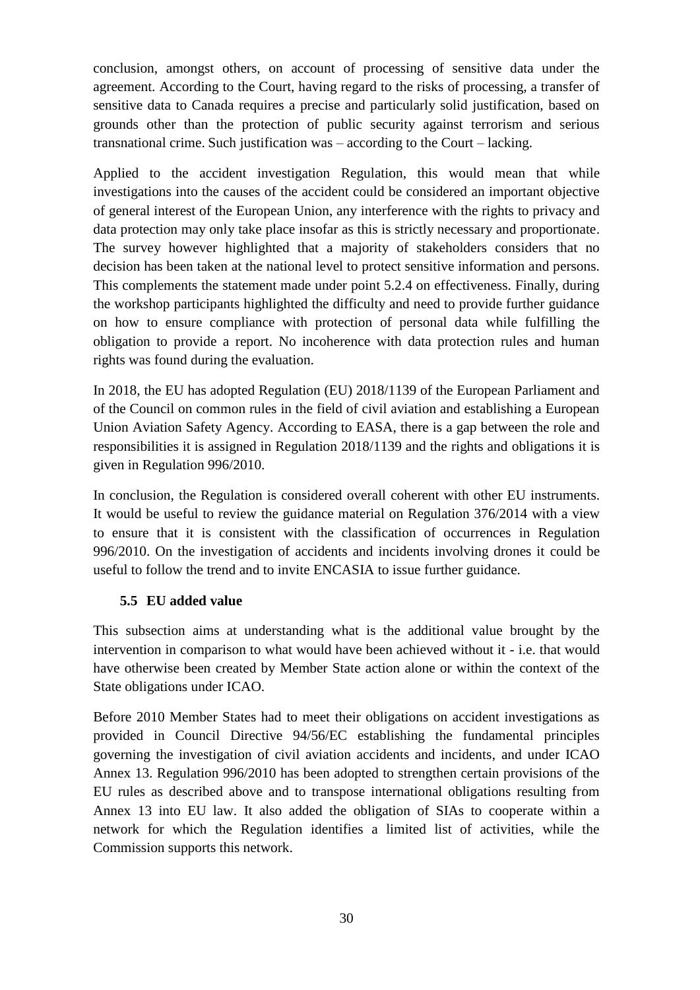conclusion, amongst others, on account of processing of sensitive data under the agreement. According to the Court, having regard to the risks of processing, a transfer of sensitive data to Canada requires a precise and particularly solid justification, based on grounds other than the protection of public security against terrorism and serious transnational crime. Such justification was – according to the Court – lacking.

Applied to the accident investigation Regulation, this would mean that while investigations into the causes of the accident could be considered an important objective of general interest of the European Union, any interference with the rights to privacy and data protection may only take place insofar as this is strictly necessary and proportionate. The survey however highlighted that a majority of stakeholders considers that no decision has been taken at the national level to protect sensitive information and persons. This complements the statement made under point 5.2.4 on effectiveness. Finally, during the workshop participants highlighted the difficulty and need to provide further guidance on how to ensure compliance with protection of personal data while fulfilling the obligation to provide a report. No incoherence with data protection rules and human rights was found during the evaluation.

In 2018, the EU has adopted Regulation (EU) 2018/1139 of the European Parliament and of the Council on common rules in the field of civil aviation and establishing a European Union Aviation Safety Agency. According to EASA, there is a gap between the role and responsibilities it is assigned in Regulation 2018/1139 and the rights and obligations it is given in Regulation 996/2010.

In conclusion, the Regulation is considered overall coherent with other EU instruments. It would be useful to review the guidance material on Regulation 376/2014 with a view to ensure that it is consistent with the classification of occurrences in Regulation 996/2010. On the investigation of accidents and incidents involving drones it could be useful to follow the trend and to invite ENCASIA to issue further guidance.

# <span id="page-29-0"></span>**5.5 EU added value**

This subsection aims at understanding what is the additional value brought by the intervention in comparison to what would have been achieved without it - i.e. that would have otherwise been created by Member State action alone or within the context of the State obligations under ICAO.

Before 2010 Member States had to meet their obligations on accident investigations as provided in Council Directive 94/56/EC establishing the fundamental principles governing the investigation of civil aviation accidents and incidents, and under ICAO Annex 13. Regulation 996/2010 has been adopted to strengthen certain provisions of the EU rules as described above and to transpose international obligations resulting from Annex 13 into EU law. It also added the obligation of SIAs to cooperate within a network for which the Regulation identifies a limited list of activities, while the Commission supports this network.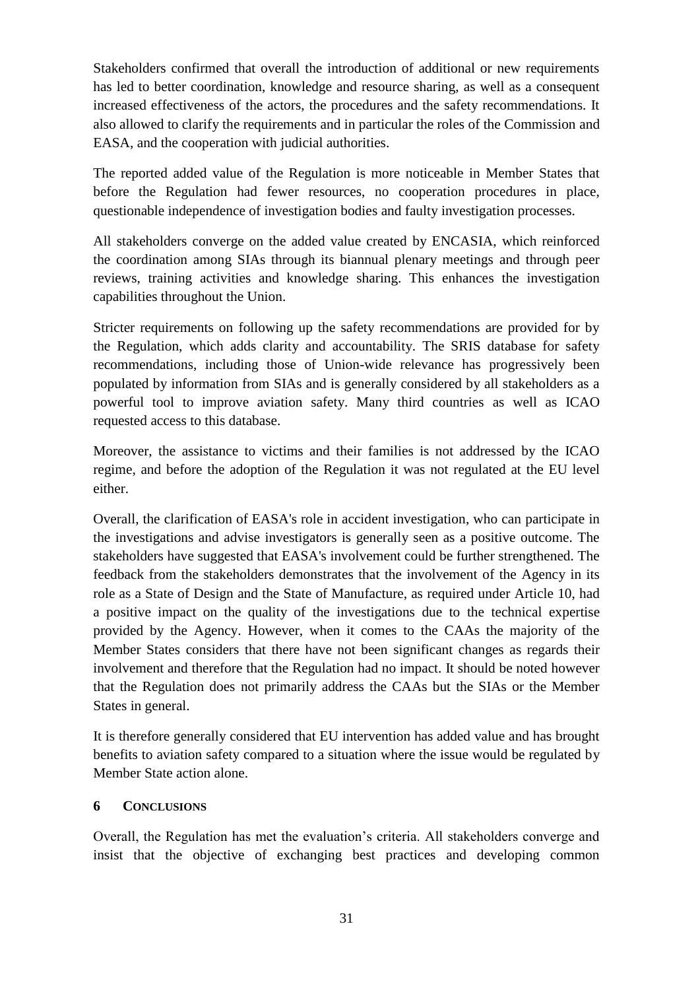Stakeholders confirmed that overall the introduction of additional or new requirements has led to better coordination, knowledge and resource sharing, as well as a consequent increased effectiveness of the actors, the procedures and the safety recommendations. It also allowed to clarify the requirements and in particular the roles of the Commission and EASA, and the cooperation with judicial authorities.

The reported added value of the Regulation is more noticeable in Member States that before the Regulation had fewer resources, no cooperation procedures in place, questionable independence of investigation bodies and faulty investigation processes.

All stakeholders converge on the added value created by ENCASIA, which reinforced the coordination among SIAs through its biannual plenary meetings and through peer reviews, training activities and knowledge sharing. This enhances the investigation capabilities throughout the Union.

Stricter requirements on following up the safety recommendations are provided for by the Regulation, which adds clarity and accountability. The SRIS database for safety recommendations, including those of Union-wide relevance has progressively been populated by information from SIAs and is generally considered by all stakeholders as a powerful tool to improve aviation safety. Many third countries as well as ICAO requested access to this database.

Moreover, the assistance to victims and their families is not addressed by the ICAO regime, and before the adoption of the Regulation it was not regulated at the EU level either.

Overall, the clarification of EASA's role in accident investigation, who can participate in the investigations and advise investigators is generally seen as a positive outcome. The stakeholders have suggested that EASA's involvement could be further strengthened. The feedback from the stakeholders demonstrates that the involvement of the Agency in its role as a State of Design and the State of Manufacture, as required under Article 10, had a positive impact on the quality of the investigations due to the technical expertise provided by the Agency. However, when it comes to the CAAs the majority of the Member States considers that there have not been significant changes as regards their involvement and therefore that the Regulation had no impact. It should be noted however that the Regulation does not primarily address the CAAs but the SIAs or the Member States in general.

It is therefore generally considered that EU intervention has added value and has brought benefits to aviation safety compared to a situation where the issue would be regulated by Member State action alone.

# <span id="page-30-0"></span>**6 CONCLUSIONS**

Overall, the Regulation has met the evaluation's criteria. All stakeholders converge and insist that the objective of exchanging best practices and developing common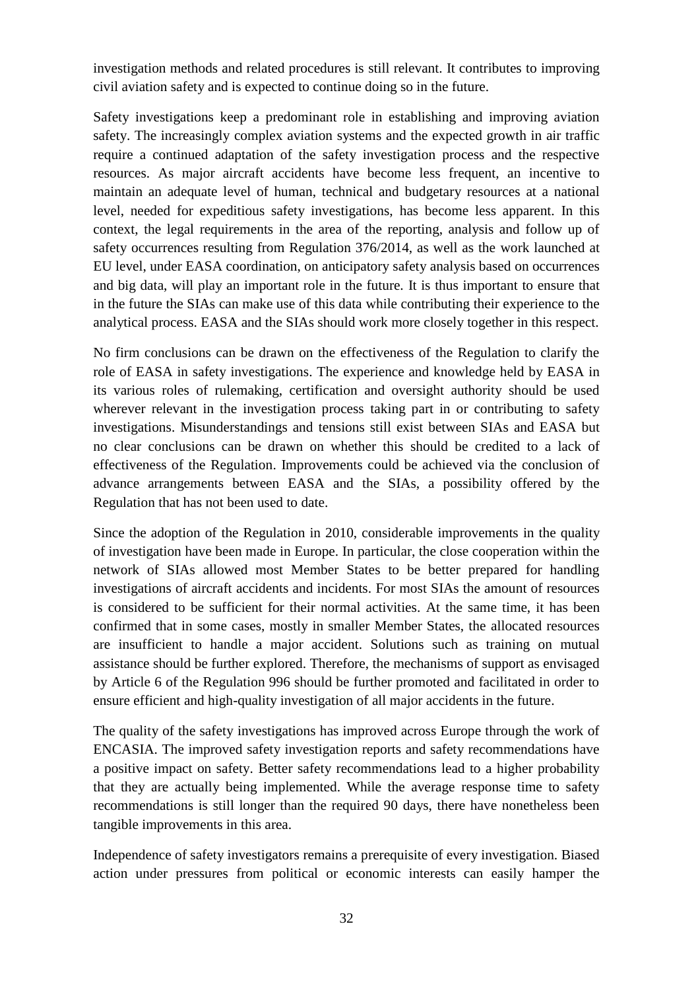investigation methods and related procedures is still relevant. It contributes to improving civil aviation safety and is expected to continue doing so in the future.

Safety investigations keep a predominant role in establishing and improving aviation safety. The increasingly complex aviation systems and the expected growth in air traffic require a continued adaptation of the safety investigation process and the respective resources. As major aircraft accidents have become less frequent, an incentive to maintain an adequate level of human, technical and budgetary resources at a national level, needed for expeditious safety investigations, has become less apparent. In this context, the legal requirements in the area of the reporting, analysis and follow up of safety occurrences resulting from Regulation 376/2014, as well as the work launched at EU level, under EASA coordination, on anticipatory safety analysis based on occurrences and big data, will play an important role in the future. It is thus important to ensure that in the future the SIAs can make use of this data while contributing their experience to the analytical process. EASA and the SIAs should work more closely together in this respect.

No firm conclusions can be drawn on the effectiveness of the Regulation to clarify the role of EASA in safety investigations. The experience and knowledge held by EASA in its various roles of rulemaking, certification and oversight authority should be used wherever relevant in the investigation process taking part in or contributing to safety investigations. Misunderstandings and tensions still exist between SIAs and EASA but no clear conclusions can be drawn on whether this should be credited to a lack of effectiveness of the Regulation. Improvements could be achieved via the conclusion of advance arrangements between EASA and the SIAs, a possibility offered by the Regulation that has not been used to date.

Since the adoption of the Regulation in 2010, considerable improvements in the quality of investigation have been made in Europe. In particular, the close cooperation within the network of SIAs allowed most Member States to be better prepared for handling investigations of aircraft accidents and incidents. For most SIAs the amount of resources is considered to be sufficient for their normal activities. At the same time, it has been confirmed that in some cases, mostly in smaller Member States, the allocated resources are insufficient to handle a major accident. Solutions such as training on mutual assistance should be further explored. Therefore, the mechanisms of support as envisaged by Article 6 of the Regulation 996 should be further promoted and facilitated in order to ensure efficient and high-quality investigation of all major accidents in the future.

The quality of the safety investigations has improved across Europe through the work of ENCASIA. The improved safety investigation reports and safety recommendations have a positive impact on safety. Better safety recommendations lead to a higher probability that they are actually being implemented. While the average response time to safety recommendations is still longer than the required 90 days, there have nonetheless been tangible improvements in this area.

Independence of safety investigators remains a prerequisite of every investigation. Biased action under pressures from political or economic interests can easily hamper the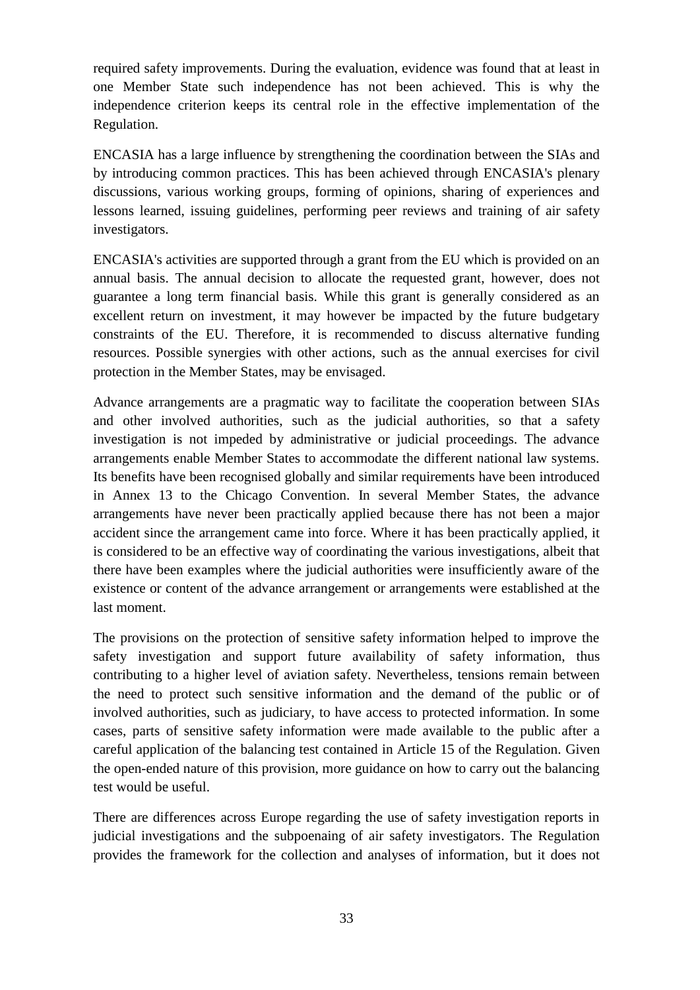required safety improvements. During the evaluation, evidence was found that at least in one Member State such independence has not been achieved. This is why the independence criterion keeps its central role in the effective implementation of the Regulation.

ENCASIA has a large influence by strengthening the coordination between the SIAs and by introducing common practices. This has been achieved through ENCASIA's plenary discussions, various working groups, forming of opinions, sharing of experiences and lessons learned, issuing guidelines, performing peer reviews and training of air safety investigators.

ENCASIA's activities are supported through a grant from the EU which is provided on an annual basis. The annual decision to allocate the requested grant, however, does not guarantee a long term financial basis. While this grant is generally considered as an excellent return on investment, it may however be impacted by the future budgetary constraints of the EU. Therefore, it is recommended to discuss alternative funding resources. Possible synergies with other actions, such as the annual exercises for civil protection in the Member States, may be envisaged.

Advance arrangements are a pragmatic way to facilitate the cooperation between SIAs and other involved authorities, such as the judicial authorities, so that a safety investigation is not impeded by administrative or judicial proceedings. The advance arrangements enable Member States to accommodate the different national law systems. Its benefits have been recognised globally and similar requirements have been introduced in Annex 13 to the Chicago Convention. In several Member States, the advance arrangements have never been practically applied because there has not been a major accident since the arrangement came into force. Where it has been practically applied, it is considered to be an effective way of coordinating the various investigations, albeit that there have been examples where the judicial authorities were insufficiently aware of the existence or content of the advance arrangement or arrangements were established at the last moment.

The provisions on the protection of sensitive safety information helped to improve the safety investigation and support future availability of safety information, thus contributing to a higher level of aviation safety. Nevertheless, tensions remain between the need to protect such sensitive information and the demand of the public or of involved authorities, such as judiciary, to have access to protected information. In some cases, parts of sensitive safety information were made available to the public after a careful application of the balancing test contained in Article 15 of the Regulation. Given the open-ended nature of this provision, more guidance on how to carry out the balancing test would be useful.

There are differences across Europe regarding the use of safety investigation reports in judicial investigations and the subpoenaing of air safety investigators. The Regulation provides the framework for the collection and analyses of information, but it does not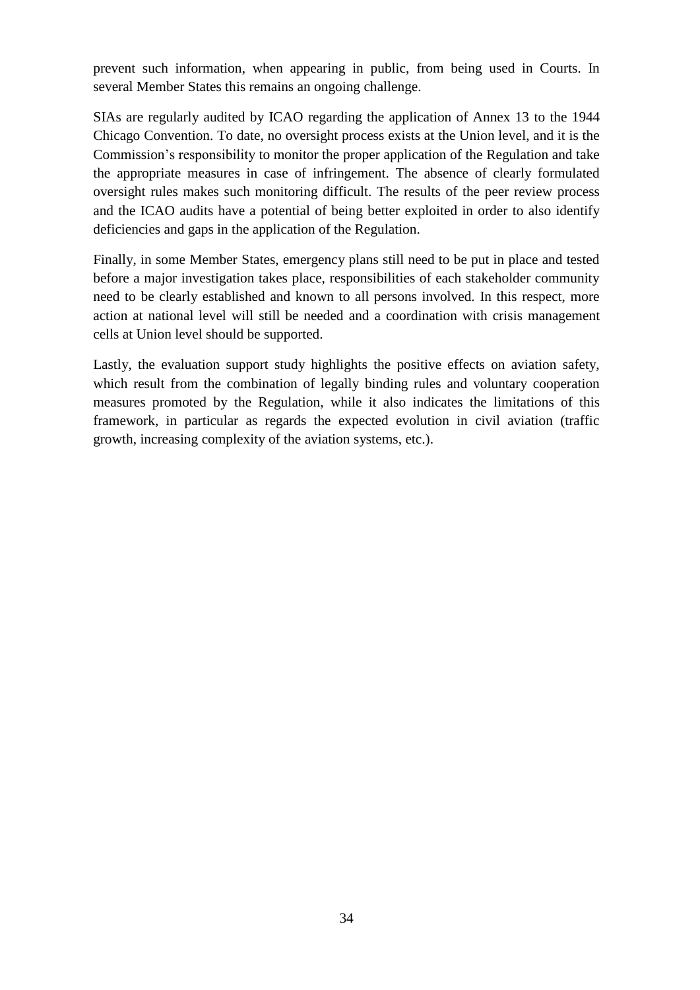prevent such information, when appearing in public, from being used in Courts. In several Member States this remains an ongoing challenge.

SIAs are regularly audited by ICAO regarding the application of Annex 13 to the 1944 Chicago Convention. To date, no oversight process exists at the Union level, and it is the Commission's responsibility to monitor the proper application of the Regulation and take the appropriate measures in case of infringement. The absence of clearly formulated oversight rules makes such monitoring difficult. The results of the peer review process and the ICAO audits have a potential of being better exploited in order to also identify deficiencies and gaps in the application of the Regulation.

Finally, in some Member States, emergency plans still need to be put in place and tested before a major investigation takes place, responsibilities of each stakeholder community need to be clearly established and known to all persons involved. In this respect, more action at national level will still be needed and a coordination with crisis management cells at Union level should be supported.

Lastly, the evaluation support study highlights the positive effects on aviation safety, which result from the combination of legally binding rules and voluntary cooperation measures promoted by the Regulation, while it also indicates the limitations of this framework, in particular as regards the expected evolution in civil aviation (traffic growth, increasing complexity of the aviation systems, etc.).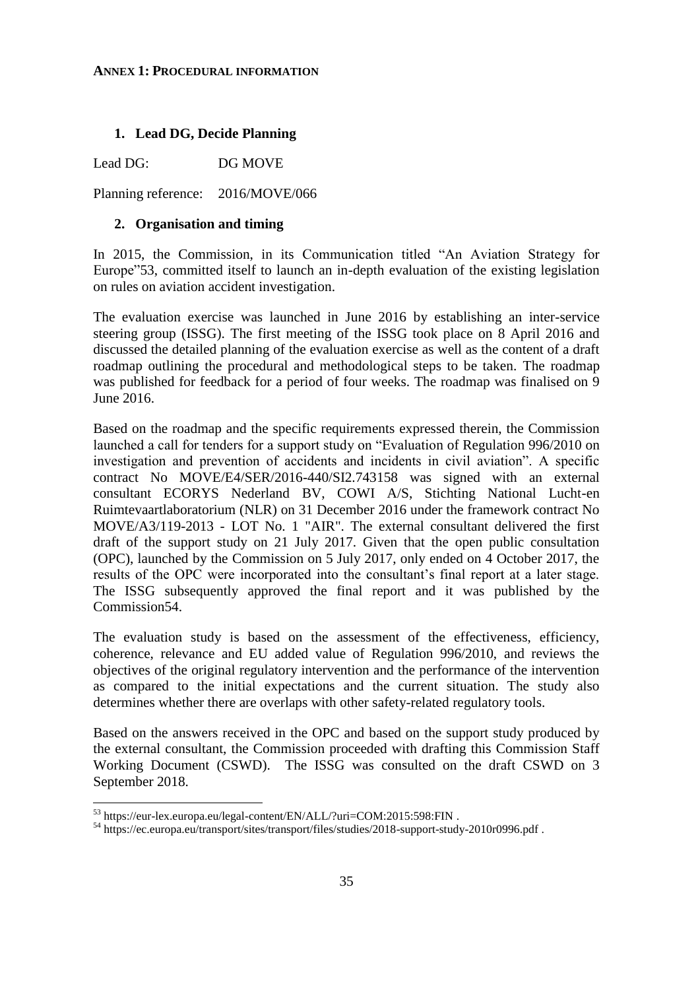#### <span id="page-34-0"></span>**ANNEX 1: PROCEDURAL INFORMATION**

#### **1. Lead DG, Decide Planning**

Lead DG: DG MOVE

Planning reference: 2016/MOVE/066

#### **2. Organisation and timing**

In 2015, the Commission, in its Communication titled "An Aviation Strategy for Europe"53, committed itself to launch an in-depth evaluation of the existing legislation on rules on aviation accident investigation.

The evaluation exercise was launched in June 2016 by establishing an inter-service steering group (ISSG). The first meeting of the ISSG took place on 8 April 2016 and discussed the detailed planning of the evaluation exercise as well as the content of a draft roadmap outlining the procedural and methodological steps to be taken. The roadmap was published for feedback for a period of four weeks. The roadmap was finalised on 9 June 2016.

Based on the roadmap and the specific requirements expressed therein, the Commission launched a call for tenders for a support study on "Evaluation of Regulation 996/2010 on investigation and prevention of accidents and incidents in civil aviation". A specific contract No MOVE/E4/SER/2016-440/SI2.743158 was signed with an external consultant ECORYS Nederland BV, COWI A/S, Stichting National Lucht-en Ruimtevaartlaboratorium (NLR) on 31 December 2016 under the framework contract No MOVE/A3/119-2013 - LOT No. 1 "AIR". The external consultant delivered the first draft of the support study on 21 July 2017. Given that the open public consultation (OPC), launched by the Commission on 5 July 2017, only ended on 4 October 2017, the results of the OPC were incorporated into the consultant's final report at a later stage. The ISSG subsequently approved the final report and it was published by the Commission54.

The evaluation study is based on the assessment of the effectiveness, efficiency, coherence, relevance and EU added value of Regulation 996/2010, and reviews the objectives of the original regulatory intervention and the performance of the intervention as compared to the initial expectations and the current situation. The study also determines whether there are overlaps with other safety-related regulatory tools.

Based on the answers received in the OPC and based on the support study produced by the external consultant, the Commission proceeded with drafting this Commission Staff Working Document (CSWD). The ISSG was consulted on the draft CSWD on 3 September 2018.

 $\overline{a}$ 

<sup>53</sup> https://eur-lex.europa.eu/legal-content/EN/ALL/?uri=COM:2015:598:FIN .

<sup>54</sup> https://ec.europa.eu/transport/sites/transport/files/studies/2018-support-study-2010r0996.pdf .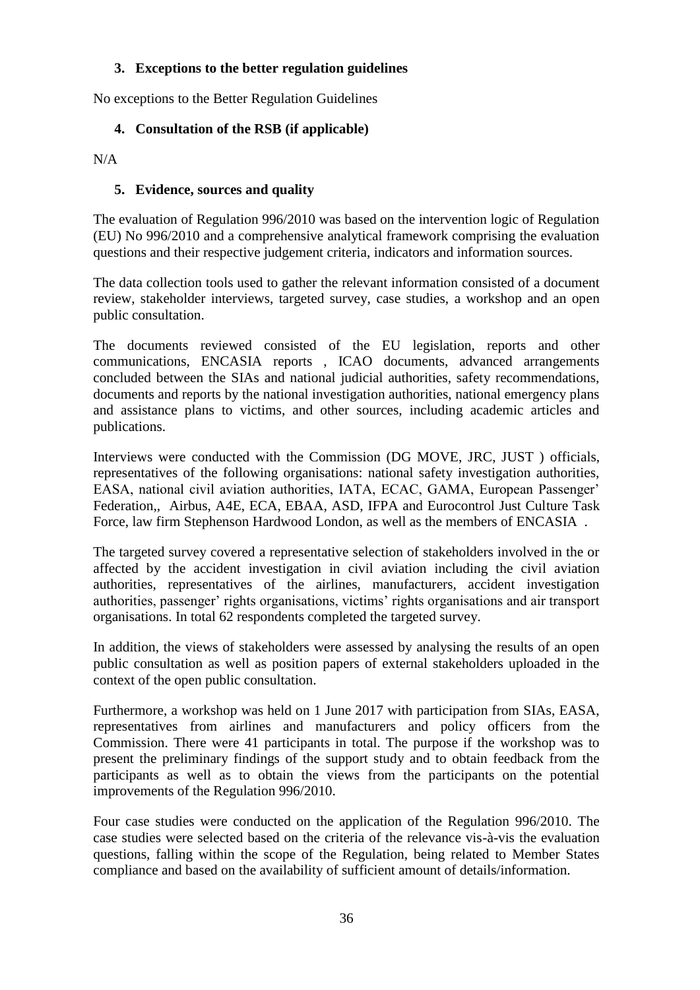# **3. Exceptions to the better regulation guidelines**

No exceptions to the Better Regulation Guidelines

# **4. Consultation of the RSB (if applicable)**

 $N/A$ 

# **5. Evidence, sources and quality**

The evaluation of Regulation 996/2010 was based on the intervention logic of Regulation (EU) No 996/2010 and a comprehensive analytical framework comprising the evaluation questions and their respective judgement criteria, indicators and information sources.

The data collection tools used to gather the relevant information consisted of a document review, stakeholder interviews, targeted survey, case studies, a workshop and an open public consultation.

The documents reviewed consisted of the EU legislation, reports and other communications, ENCASIA reports , ICAO documents, advanced arrangements concluded between the SIAs and national judicial authorities, safety recommendations, documents and reports by the national investigation authorities, national emergency plans and assistance plans to victims, and other sources, including academic articles and publications.

Interviews were conducted with the Commission (DG MOVE, JRC, JUST ) officials, representatives of the following organisations: national safety investigation authorities, EASA, national civil aviation authorities, IATA, ECAC, GAMA, European Passenger' Federation,, Airbus, A4E, ECA, EBAA, ASD, IFPA and Eurocontrol Just Culture Task Force, law firm Stephenson Hardwood London, as well as the members of ENCASIA .

The targeted survey covered a representative selection of stakeholders involved in the or affected by the accident investigation in civil aviation including the civil aviation authorities, representatives of the airlines, manufacturers, accident investigation authorities, passenger' rights organisations, victims' rights organisations and air transport organisations. In total 62 respondents completed the targeted survey.

In addition, the views of stakeholders were assessed by analysing the results of an open public consultation as well as position papers of external stakeholders uploaded in the context of the open public consultation.

Furthermore, a workshop was held on 1 June 2017 with participation from SIAs, EASA, representatives from airlines and manufacturers and policy officers from the Commission. There were 41 participants in total. The purpose if the workshop was to present the preliminary findings of the support study and to obtain feedback from the participants as well as to obtain the views from the participants on the potential improvements of the Regulation 996/2010.

Four case studies were conducted on the application of the Regulation 996/2010. The case studies were selected based on the criteria of the relevance vis-à-vis the evaluation questions, falling within the scope of the Regulation, being related to Member States compliance and based on the availability of sufficient amount of details/information.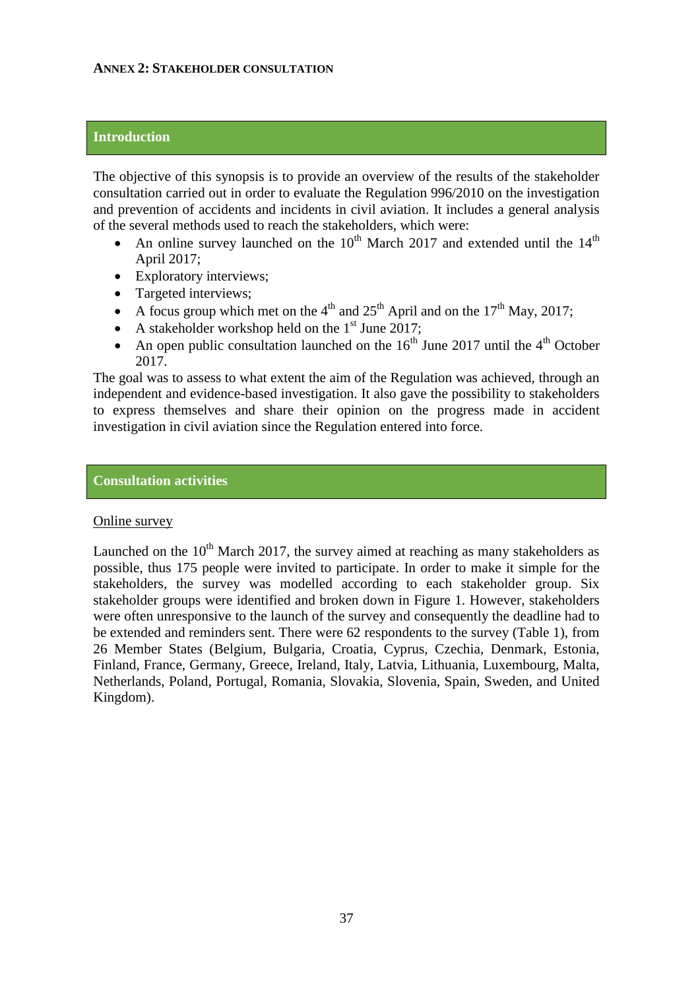### <span id="page-36-0"></span>**Introduction**

The objective of this synopsis is to provide an overview of the results of the stakeholder consultation carried out in order to evaluate the Regulation 996/2010 on the investigation and prevention of accidents and incidents in civil aviation. It includes a general analysis of the several methods used to reach the stakeholders, which were:

- An online survey launched on the  $10^{th}$  March 2017 and extended until the  $14^{th}$ April 2017;
- Exploratory interviews;
- Targeted interviews:
- A focus group which met on the  $4<sup>th</sup>$  and  $25<sup>th</sup>$  April and on the 17<sup>th</sup> May, 2017;
- A stakeholder workshop held on the  $1<sup>st</sup>$  June 2017;
- An open public consultation launched on the  $16<sup>th</sup>$  June 2017 until the  $4<sup>th</sup>$  October 2017.

The goal was to assess to what extent the aim of the Regulation was achieved, through an independent and evidence-based investigation. It also gave the possibility to stakeholders to express themselves and share their opinion on the progress made in accident investigation in civil aviation since the Regulation entered into force.

### **Consultation activities**

### Online survey

Launched on the  $10<sup>th</sup>$  March 2017, the survey aimed at reaching as many stakeholders as possible, thus 175 people were invited to participate. In order to make it simple for the stakeholders, the survey was modelled according to each stakeholder group. Six stakeholder groups were identified and broken down in Figure 1. However, stakeholders were often unresponsive to the launch of the survey and consequently the deadline had to be extended and reminders sent. There were 62 respondents to the survey (Table 1), from 26 Member States (Belgium, Bulgaria, Croatia, Cyprus, Czechia, Denmark, Estonia, Finland, France, Germany, Greece, Ireland, Italy, Latvia, Lithuania, Luxembourg, Malta, Netherlands, Poland, Portugal, Romania, Slovakia, Slovenia, Spain, Sweden, and United Kingdom).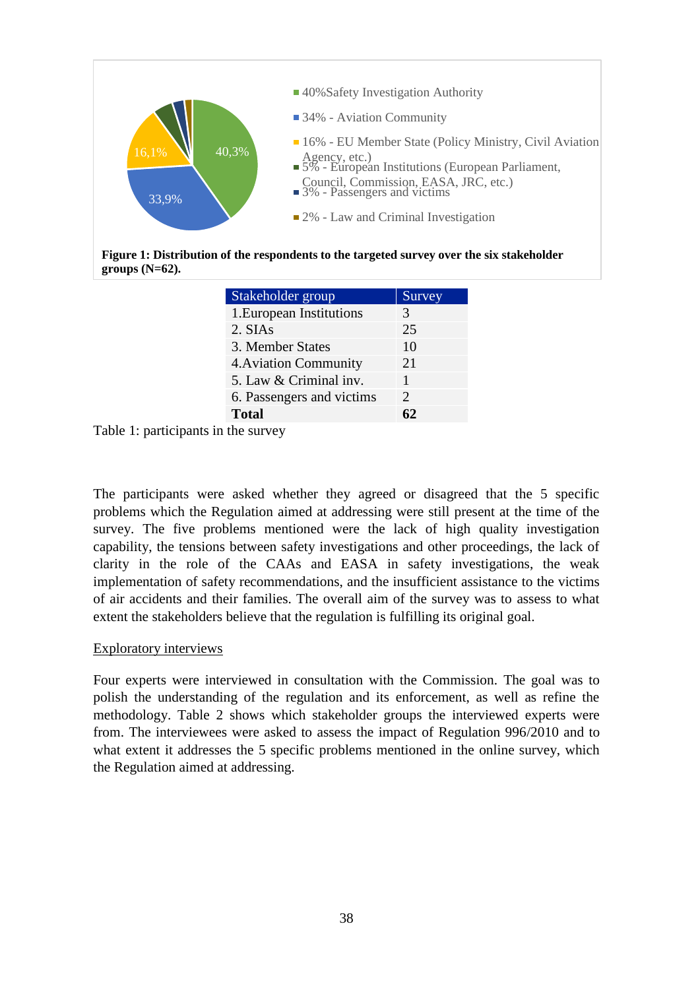

**Figure 1: Distribution of the respondents to the targeted survey over the six stakeholder groups (N=62).** 

| Stakeholder group         | Survey                |
|---------------------------|-----------------------|
| 1. European Institutions  | 3                     |
| 2. SIAs                   | 25                    |
| 3. Member States          | 10                    |
| 4. Aviation Community     | 21                    |
| 5. Law & Criminal inv.    |                       |
| 6. Passengers and victims | $\mathcal{D}_{\cdot}$ |
| <b>Total</b>              | 62                    |
| - 11                      |                       |

Table 1: participants in the survey

The participants were asked whether they agreed or disagreed that the 5 specific problems which the Regulation aimed at addressing were still present at the time of the survey. The five problems mentioned were the lack of high quality investigation capability, the tensions between safety investigations and other proceedings, the lack of clarity in the role of the CAAs and EASA in safety investigations, the weak implementation of safety recommendations, and the insufficient assistance to the victims of air accidents and their families. The overall aim of the survey was to assess to what extent the stakeholders believe that the regulation is fulfilling its original goal.

### Exploratory interviews

Four experts were interviewed in consultation with the Commission. The goal was to polish the understanding of the regulation and its enforcement, as well as refine the methodology. Table 2 shows which stakeholder groups the interviewed experts were from. The interviewees were asked to assess the impact of Regulation 996/2010 and to what extent it addresses the 5 specific problems mentioned in the online survey, which the Regulation aimed at addressing.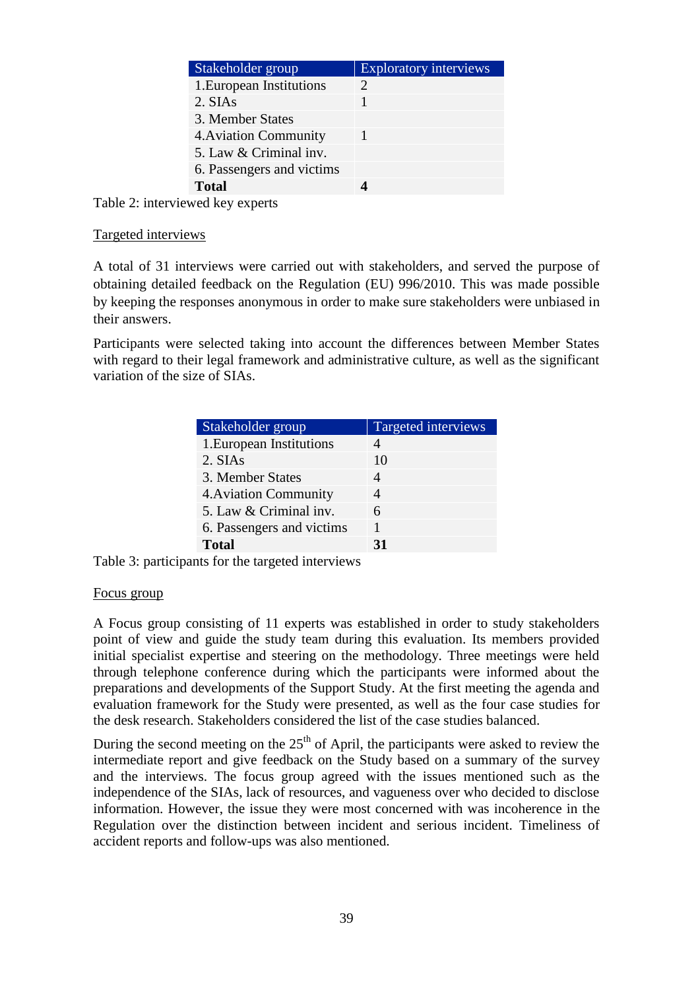| Stakeholder group         | <b>Exploratory interviews</b> |
|---------------------------|-------------------------------|
| 1. European Institutions  |                               |
| 2. SIAs                   |                               |
| 3. Member States          |                               |
| 4. Aviation Community     |                               |
| 5. Law & Criminal inv.    |                               |
| 6. Passengers and victims |                               |
| <b>Total</b>              |                               |
|                           |                               |

Table 2: interviewed key experts

#### Targeted interviews

A total of 31 interviews were carried out with stakeholders, and served the purpose of obtaining detailed feedback on the Regulation (EU) 996/2010. This was made possible by keeping the responses anonymous in order to make sure stakeholders were unbiased in their answers.

Participants were selected taking into account the differences between Member States with regard to their legal framework and administrative culture, as well as the significant variation of the size of SIAs.

| Stakeholder group         | Targeted interviews |
|---------------------------|---------------------|
| 1. European Institutions  |                     |
| 2. SIAs                   | 10                  |
| 3. Member States          |                     |
| 4. Aviation Community     |                     |
| 5. Law & Criminal inv.    | 6                   |
| 6. Passengers and victims |                     |
| <b>Total</b>              | 31                  |

Table 3: participants for the targeted interviews

### Focus group

A Focus group consisting of 11 experts was established in order to study stakeholders point of view and guide the study team during this evaluation. Its members provided initial specialist expertise and steering on the methodology. Three meetings were held through telephone conference during which the participants were informed about the preparations and developments of the Support Study. At the first meeting the agenda and evaluation framework for the Study were presented, as well as the four case studies for the desk research. Stakeholders considered the list of the case studies balanced.

During the second meeting on the  $25<sup>th</sup>$  of April, the participants were asked to review the intermediate report and give feedback on the Study based on a summary of the survey and the interviews. The focus group agreed with the issues mentioned such as the independence of the SIAs, lack of resources, and vagueness over who decided to disclose information. However, the issue they were most concerned with was incoherence in the Regulation over the distinction between incident and serious incident. Timeliness of accident reports and follow-ups was also mentioned.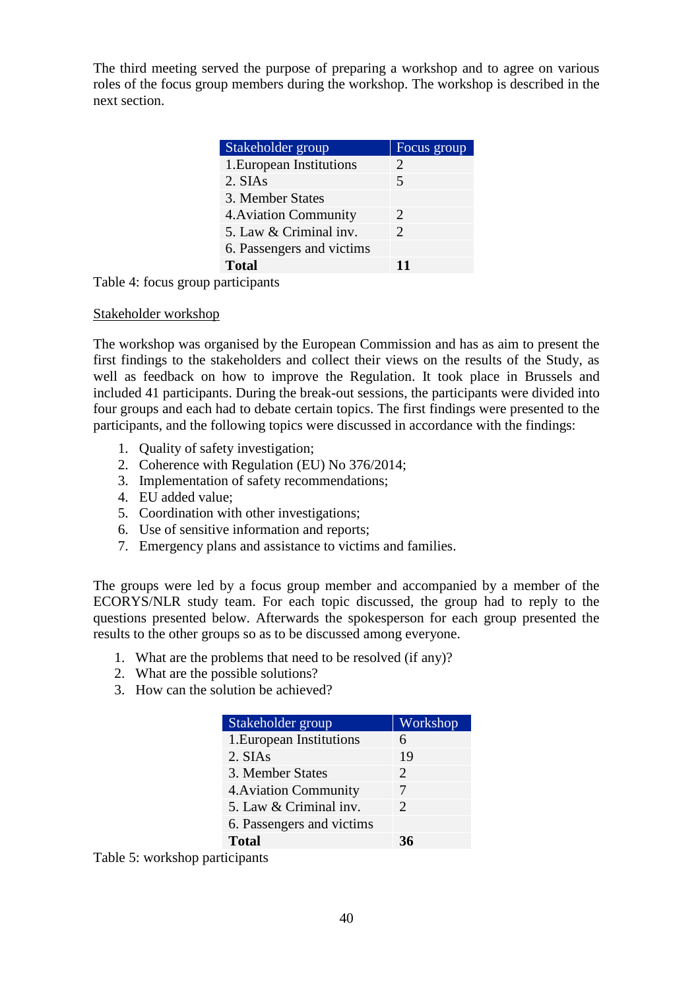The third meeting served the purpose of preparing a workshop and to agree on various roles of the focus group members during the workshop. The workshop is described in the next section.

| Stakeholder group         | Focus group           |
|---------------------------|-----------------------|
| 1. European Institutions  | $\mathcal{D}_{\cdot}$ |
| 2. SIAs                   | 5                     |
| 3. Member States          |                       |
| 4. Aviation Community     | $\mathcal{D}_{\cdot}$ |
| 5. Law & Criminal inv.    | $\mathcal{D}_{\cdot}$ |
| 6. Passengers and victims |                       |
| <b>Total</b>              | 11                    |

Table 4: focus group participants

### Stakeholder workshop

The workshop was organised by the European Commission and has as aim to present the first findings to the stakeholders and collect their views on the results of the Study, as well as feedback on how to improve the Regulation. It took place in Brussels and included 41 participants. During the break-out sessions, the participants were divided into four groups and each had to debate certain topics. The first findings were presented to the participants, and the following topics were discussed in accordance with the findings:

- 1. Quality of safety investigation;
- 2. Coherence with Regulation (EU) No 376/2014;
- 3. Implementation of safety recommendations;
- 4. EU added value;
- 5. Coordination with other investigations;
- 6. Use of sensitive information and reports;
- 7. Emergency plans and assistance to victims and families.

The groups were led by a focus group member and accompanied by a member of the ECORYS/NLR study team. For each topic discussed, the group had to reply to the questions presented below. Afterwards the spokesperson for each group presented the results to the other groups so as to be discussed among everyone.

- 1. What are the problems that need to be resolved (if any)?
- 2. What are the possible solutions?
- 3. How can the solution be achieved?

| Stakeholder group         | Workshop                    |
|---------------------------|-----------------------------|
| 1. European Institutions  | 6                           |
| 2. SIAs                   | 19                          |
| 3. Member States          | $\mathcal{D}_{\cdot}$       |
| 4. Aviation Community     | 7                           |
| 5. Law & Criminal inv.    | $\mathcal{D}_{\mathcal{L}}$ |
| 6. Passengers and victims |                             |
| <b>Total</b>              | 36                          |

Table 5: workshop participants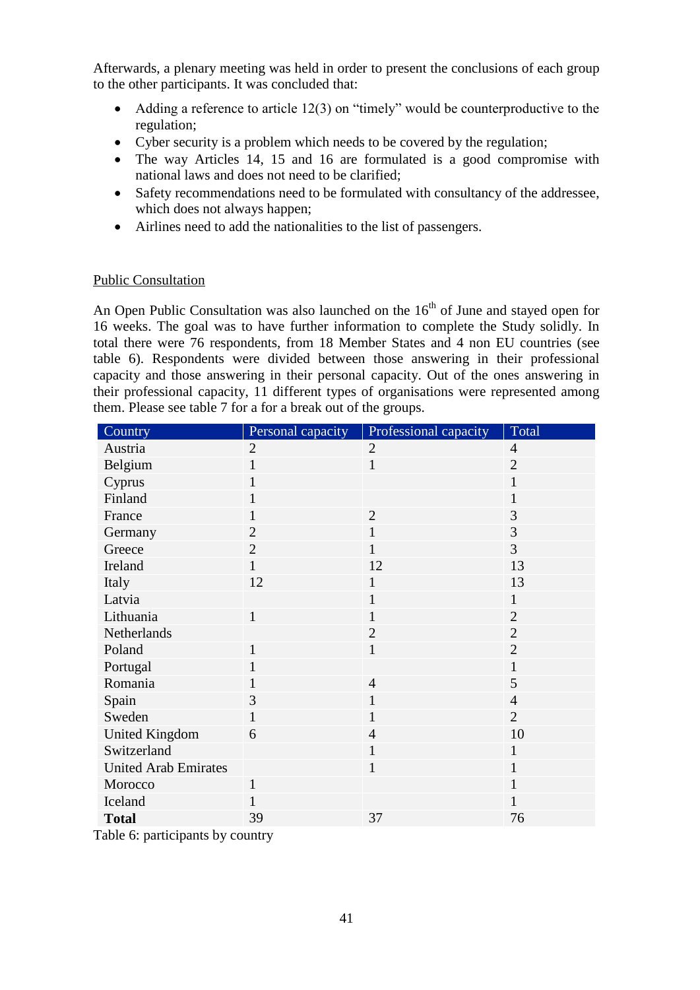Afterwards, a plenary meeting was held in order to present the conclusions of each group to the other participants. It was concluded that:

- Adding a reference to article 12(3) on "timely" would be counterproductive to the regulation;
- Cyber security is a problem which needs to be covered by the regulation;
- The way Articles 14, 15 and 16 are formulated is a good compromise with national laws and does not need to be clarified;
- Safety recommendations need to be formulated with consultancy of the addressee, which does not always happen;
- Airlines need to add the nationalities to the list of passengers.

### Public Consultation

An Open Public Consultation was also launched on the  $16<sup>th</sup>$  of June and stayed open for 16 weeks. The goal was to have further information to complete the Study solidly. In total there were 76 respondents, from 18 Member States and 4 non EU countries (see table 6). Respondents were divided between those answering in their professional capacity and those answering in their personal capacity. Out of the ones answering in their professional capacity, 11 different types of organisations were represented among them. Please see table 7 for a for a break out of the groups.

| Country                     | Personal capacity | Professional capacity | Total          |
|-----------------------------|-------------------|-----------------------|----------------|
| Austria                     | $\overline{2}$    | $\overline{2}$        | $\overline{4}$ |
| Belgium                     | 1                 | $\mathbf{1}$          | $\overline{2}$ |
| Cyprus                      | $\mathbf{1}$      |                       | $\mathbf{1}$   |
| Finland                     | 1                 |                       | $\mathbf{1}$   |
| France                      | $\mathbf{1}$      | $\overline{2}$        | 3              |
| Germany                     | $\overline{2}$    | $\mathbf{1}$          | 3              |
| Greece                      | $\overline{2}$    | $\mathbf{1}$          | 3              |
| Ireland                     | $\mathbf{1}$      | 12                    | 13             |
| Italy                       | 12                | $\mathbf{1}$          | 13             |
| Latvia                      |                   | 1                     | 1              |
| Lithuania                   | $\mathbf{1}$      | 1                     | $\overline{2}$ |
| Netherlands                 |                   | $\overline{2}$        | $\overline{2}$ |
| Poland                      | $\mathbf{1}$      | $\mathbf{1}$          | $\overline{2}$ |
| Portugal                    | $\mathbf{1}$      |                       | $\mathbf{1}$   |
| Romania                     | 1                 | $\overline{4}$        | 5              |
| Spain                       | 3                 | $\mathbf{1}$          | $\overline{4}$ |
| Sweden                      | $\mathbf{1}$      | $\mathbf{1}$          | $\overline{2}$ |
| <b>United Kingdom</b>       | 6                 | $\overline{4}$        | 10             |
| Switzerland                 |                   | $\mathbf{1}$          | $\mathbf{1}$   |
| <b>United Arab Emirates</b> |                   | $\mathbf{1}$          | $\mathbf{1}$   |
| Morocco                     | $\mathbf{1}$      |                       | $\mathbf{1}$   |
| Iceland                     | $\mathbf{1}$      |                       | $\mathbf{1}$   |
| <b>Total</b>                | 39                | 37                    | 76             |

Table 6: participants by country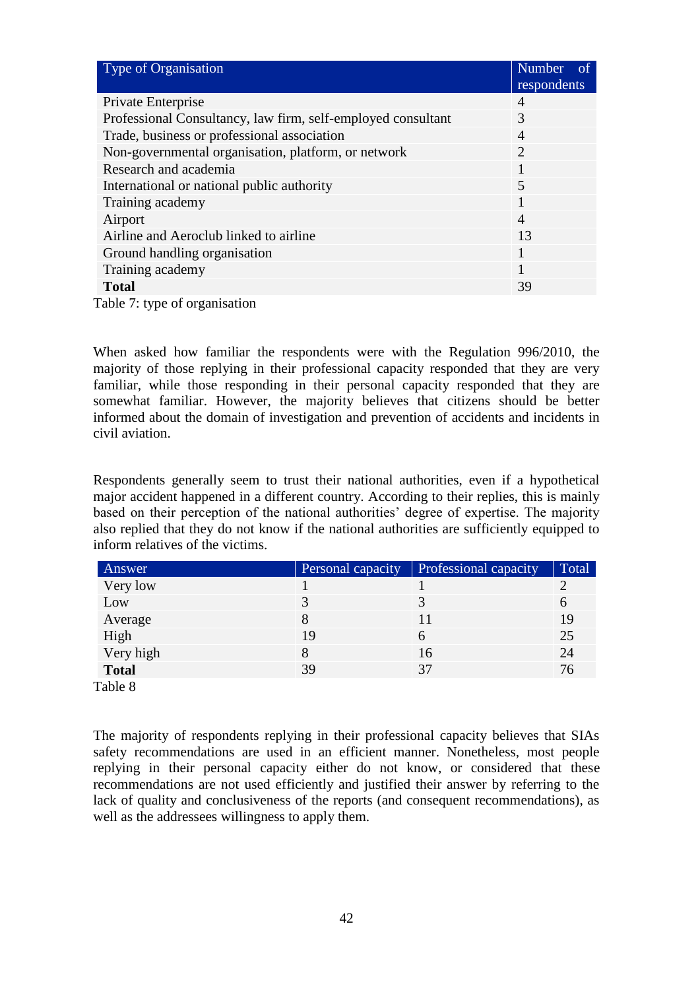| Type of Organisation                                         | Number<br>of<br>respondents |
|--------------------------------------------------------------|-----------------------------|
| Private Enterprise                                           | $\overline{A}$              |
| Professional Consultancy, law firm, self-employed consultant | 3                           |
| Trade, business or professional association                  | $\overline{4}$              |
| Non-governmental organisation, platform, or network          | $\overline{2}$              |
| Research and academia                                        | 1                           |
| International or national public authority                   | 5                           |
| Training academy                                             | 1                           |
| Airport                                                      | $\overline{4}$              |
| Airline and Aeroclub linked to airline                       | 13                          |
| Ground handling organisation                                 |                             |
| Training academy                                             | 1                           |
| <b>Total</b>                                                 | 39                          |
| Table 7: type of organisation                                |                             |

When asked how familiar the respondents were with the Regulation 996/2010, the majority of those replying in their professional capacity responded that they are very familiar, while those responding in their personal capacity responded that they are somewhat familiar. However, the majority believes that citizens should be better informed about the domain of investigation and prevention of accidents and incidents in civil aviation.

Respondents generally seem to trust their national authorities, even if a hypothetical major accident happened in a different country. According to their replies, this is mainly based on their perception of the national authorities' degree of expertise. The majority also replied that they do not know if the national authorities are sufficiently equipped to inform relatives of the victims.

| Answer                     | Personal capacity | <b>Professional capacity</b> | Total |
|----------------------------|-------------------|------------------------------|-------|
| Very low                   |                   |                              |       |
| Low                        |                   |                              | O     |
| Average                    |                   |                              | 19    |
| High                       | 19                |                              | 25    |
| Very high                  |                   | 16                           | 24    |
| <b>Total</b>               | 39                | 37                           | 76    |
| $T_{\alpha}$ 1.1. $\Omega$ |                   |                              |       |

Table 8

The majority of respondents replying in their professional capacity believes that SIAs safety recommendations are used in an efficient manner. Nonetheless, most people replying in their personal capacity either do not know, or considered that these recommendations are not used efficiently and justified their answer by referring to the lack of quality and conclusiveness of the reports (and consequent recommendations), as well as the addressees willingness to apply them.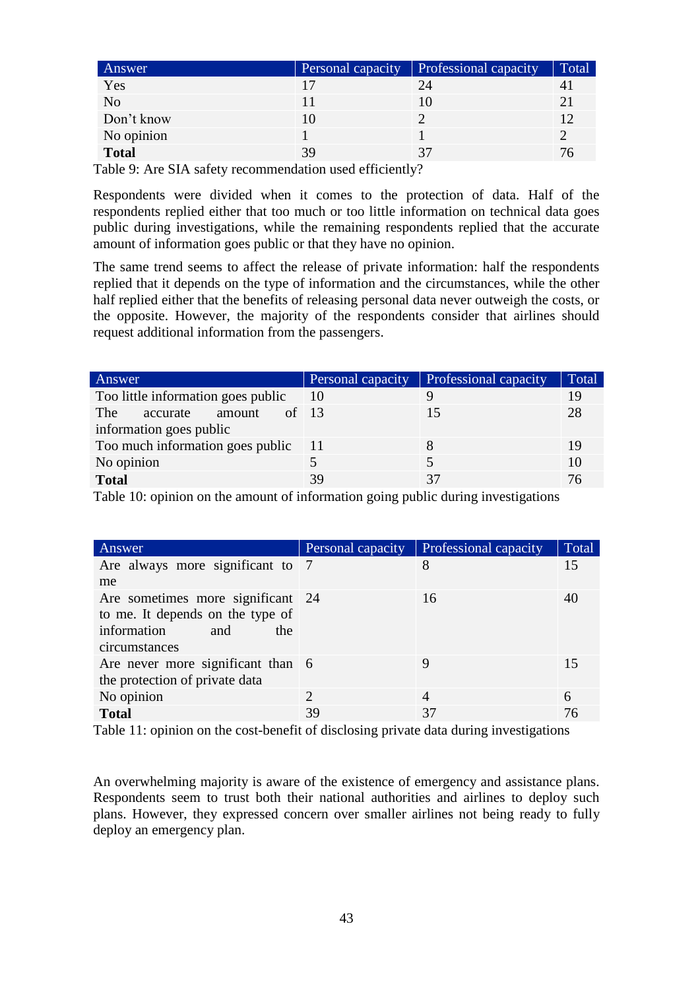| Answer         | Personal capacity | Professional capacity | Total |
|----------------|-------------------|-----------------------|-------|
| Yes            |                   | 24                    |       |
| N <sub>o</sub> |                   |                       |       |
| Don't know     |                   |                       |       |
| No opinion     |                   |                       |       |
| <b>Total</b>   |                   |                       |       |

Table 9: Are SIA safety recommendation used efficiently?

Respondents were divided when it comes to the protection of data. Half of the respondents replied either that too much or too little information on technical data goes public during investigations, while the remaining respondents replied that the accurate amount of information goes public or that they have no opinion.

The same trend seems to affect the release of private information: half the respondents replied that it depends on the type of information and the circumstances, while the other half replied either that the benefits of releasing personal data never outweigh the costs, or the opposite. However, the majority of the respondents consider that airlines should request additional information from the passengers.

| Answer                              | Personal capacity | Professional capacity | Total |
|-------------------------------------|-------------------|-----------------------|-------|
| Too little information goes public  | 10                |                       | 19    |
| of $13$<br>The<br>accurate amount   |                   | 15                    | 28    |
| information goes public             |                   |                       |       |
| Too much information goes public 11 |                   |                       | 19    |
| No opinion                          |                   |                       | 10    |
| <b>Total</b>                        | 39                | 37                    | 76    |

Table 10: opinion on the amount of information going public during investigations

| Answer                                                                                                              | Personal capacity           | Professional capacity | Total |
|---------------------------------------------------------------------------------------------------------------------|-----------------------------|-----------------------|-------|
| Are always more significant to 7                                                                                    |                             | 8                     | 15    |
| me                                                                                                                  |                             |                       |       |
| Are sometimes more significant 24<br>to me. It depends on the type of<br>information<br>and<br>the<br>circumstances |                             | 16                    | 40    |
| Are never more significant than 6<br>the protection of private data                                                 |                             | 9                     | 15    |
| No opinion                                                                                                          | $\mathcal{D}_{\mathcal{L}}$ | 4                     | 6     |
| <b>Total</b>                                                                                                        | 39                          | 37                    | 76    |

Table 11: opinion on the cost-benefit of disclosing private data during investigations

An overwhelming majority is aware of the existence of emergency and assistance plans. Respondents seem to trust both their national authorities and airlines to deploy such plans. However, they expressed concern over smaller airlines not being ready to fully deploy an emergency plan.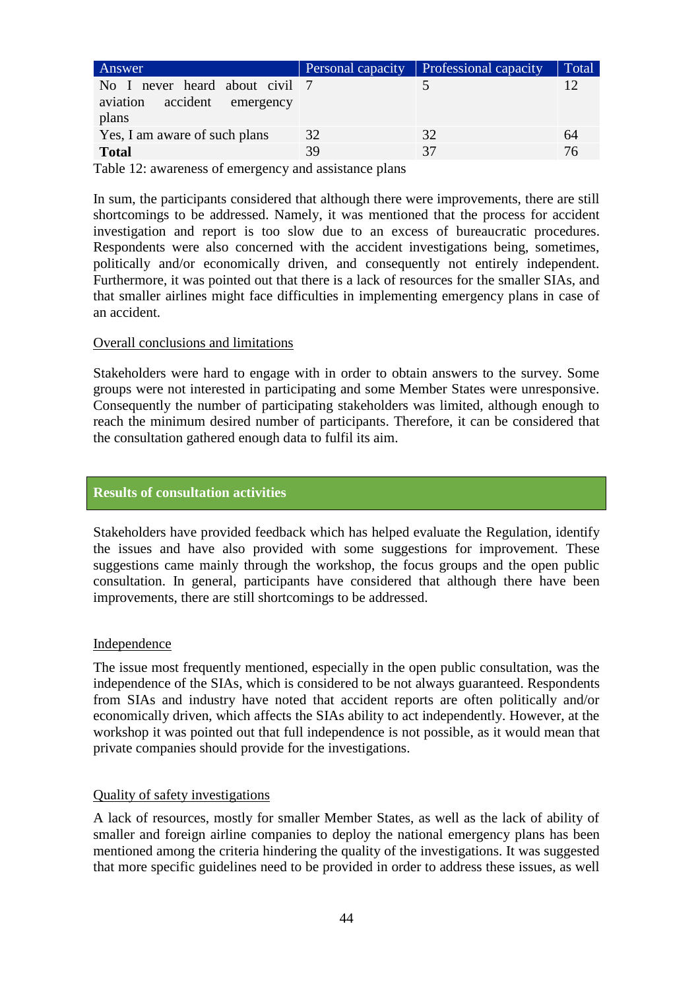| Answer                                                                       | Personal capacity | <b>Professional capacity</b> | Total |
|------------------------------------------------------------------------------|-------------------|------------------------------|-------|
| No I never heard about civil 7<br>accident<br>aviation<br>emergency<br>plans |                   |                              |       |
| Yes, I am aware of such plans                                                | 32                | 32                           | 64    |
| <b>Total</b>                                                                 | 39                | 37                           | 76    |
|                                                                              |                   |                              |       |

Table 12: awareness of emergency and assistance plans

In sum, the participants considered that although there were improvements, there are still shortcomings to be addressed. Namely, it was mentioned that the process for accident investigation and report is too slow due to an excess of bureaucratic procedures. Respondents were also concerned with the accident investigations being, sometimes, politically and/or economically driven, and consequently not entirely independent. Furthermore, it was pointed out that there is a lack of resources for the smaller SIAs, and that smaller airlines might face difficulties in implementing emergency plans in case of an accident.

#### Overall conclusions and limitations

Stakeholders were hard to engage with in order to obtain answers to the survey. Some groups were not interested in participating and some Member States were unresponsive. Consequently the number of participating stakeholders was limited, although enough to reach the minimum desired number of participants. Therefore, it can be considered that the consultation gathered enough data to fulfil its aim.

#### **Results of consultation activities**

Stakeholders have provided feedback which has helped evaluate the Regulation, identify the issues and have also provided with some suggestions for improvement. These suggestions came mainly through the workshop, the focus groups and the open public consultation. In general, participants have considered that although there have been improvements, there are still shortcomings to be addressed.

#### Independence

The issue most frequently mentioned, especially in the open public consultation, was the independence of the SIAs, which is considered to be not always guaranteed. Respondents from SIAs and industry have noted that accident reports are often politically and/or economically driven, which affects the SIAs ability to act independently. However, at the workshop it was pointed out that full independence is not possible, as it would mean that private companies should provide for the investigations.

#### Quality of safety investigations

A lack of resources, mostly for smaller Member States, as well as the lack of ability of smaller and foreign airline companies to deploy the national emergency plans has been mentioned among the criteria hindering the quality of the investigations. It was suggested that more specific guidelines need to be provided in order to address these issues, as well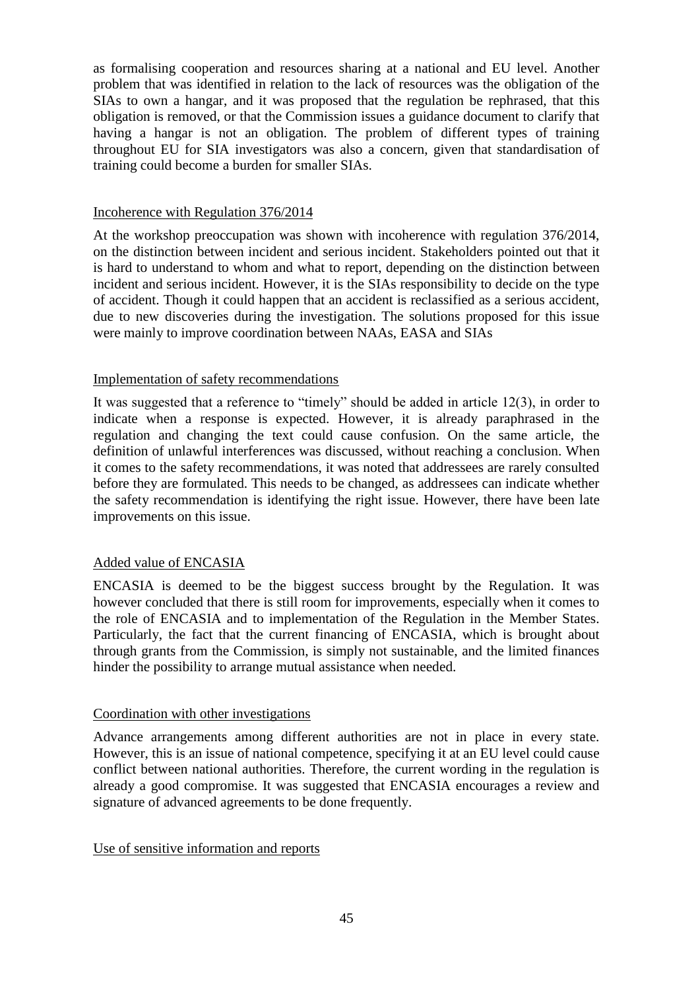as formalising cooperation and resources sharing at a national and EU level. Another problem that was identified in relation to the lack of resources was the obligation of the SIAs to own a hangar, and it was proposed that the regulation be rephrased, that this obligation is removed, or that the Commission issues a guidance document to clarify that having a hangar is not an obligation. The problem of different types of training throughout EU for SIA investigators was also a concern, given that standardisation of training could become a burden for smaller SIAs.

### Incoherence with Regulation 376/2014

At the workshop preoccupation was shown with incoherence with regulation 376/2014, on the distinction between incident and serious incident. Stakeholders pointed out that it is hard to understand to whom and what to report, depending on the distinction between incident and serious incident. However, it is the SIAs responsibility to decide on the type of accident. Though it could happen that an accident is reclassified as a serious accident, due to new discoveries during the investigation. The solutions proposed for this issue were mainly to improve coordination between NAAs, EASA and SIAs

#### Implementation of safety recommendations

It was suggested that a reference to "timely" should be added in article 12(3), in order to indicate when a response is expected. However, it is already paraphrased in the regulation and changing the text could cause confusion. On the same article, the definition of unlawful interferences was discussed, without reaching a conclusion. When it comes to the safety recommendations, it was noted that addressees are rarely consulted before they are formulated. This needs to be changed, as addressees can indicate whether the safety recommendation is identifying the right issue. However, there have been late improvements on this issue.

### Added value of ENCASIA

ENCASIA is deemed to be the biggest success brought by the Regulation. It was however concluded that there is still room for improvements, especially when it comes to the role of ENCASIA and to implementation of the Regulation in the Member States. Particularly, the fact that the current financing of ENCASIA, which is brought about through grants from the Commission, is simply not sustainable, and the limited finances hinder the possibility to arrange mutual assistance when needed.

### Coordination with other investigations

Advance arrangements among different authorities are not in place in every state. However, this is an issue of national competence, specifying it at an EU level could cause conflict between national authorities. Therefore, the current wording in the regulation is already a good compromise. It was suggested that ENCASIA encourages a review and signature of advanced agreements to be done frequently.

Use of sensitive information and reports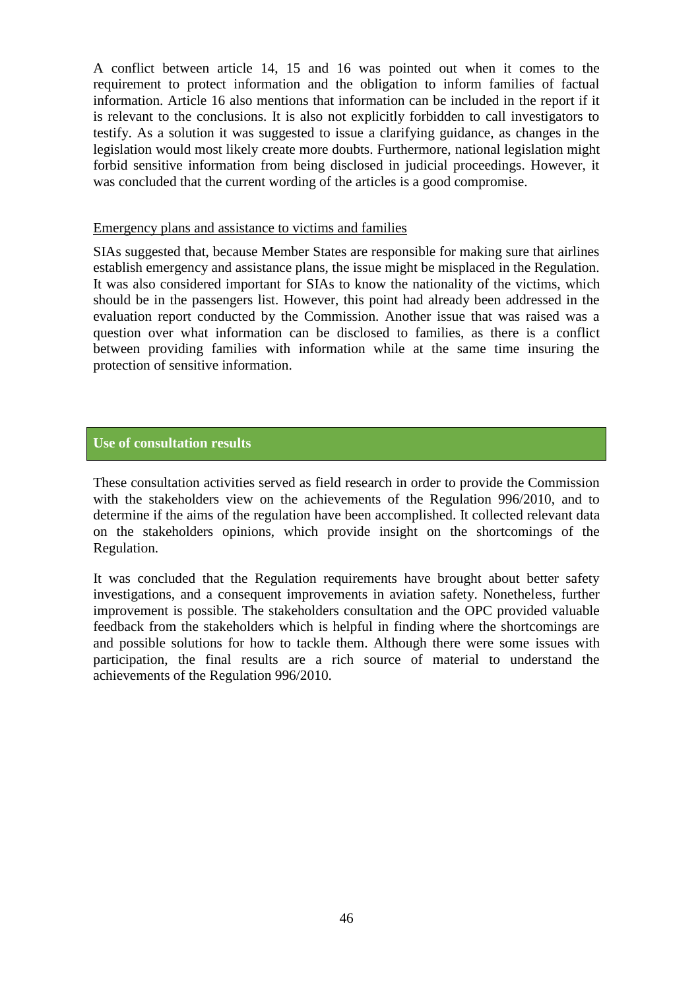A conflict between article 14, 15 and 16 was pointed out when it comes to the requirement to protect information and the obligation to inform families of factual information. Article 16 also mentions that information can be included in the report if it is relevant to the conclusions. It is also not explicitly forbidden to call investigators to testify. As a solution it was suggested to issue a clarifying guidance, as changes in the legislation would most likely create more doubts. Furthermore, national legislation might forbid sensitive information from being disclosed in judicial proceedings. However, it was concluded that the current wording of the articles is a good compromise.

#### Emergency plans and assistance to victims and families

SIAs suggested that, because Member States are responsible for making sure that airlines establish emergency and assistance plans, the issue might be misplaced in the Regulation. It was also considered important for SIAs to know the nationality of the victims, which should be in the passengers list. However, this point had already been addressed in the evaluation report conducted by the Commission. Another issue that was raised was a question over what information can be disclosed to families, as there is a conflict between providing families with information while at the same time insuring the protection of sensitive information.

### **Use of consultation results**

These consultation activities served as field research in order to provide the Commission with the stakeholders view on the achievements of the Regulation 996/2010, and to determine if the aims of the regulation have been accomplished. It collected relevant data on the stakeholders opinions, which provide insight on the shortcomings of the Regulation.

It was concluded that the Regulation requirements have brought about better safety investigations, and a consequent improvements in aviation safety. Nonetheless, further improvement is possible. The stakeholders consultation and the OPC provided valuable feedback from the stakeholders which is helpful in finding where the shortcomings are and possible solutions for how to tackle them. Although there were some issues with participation, the final results are a rich source of material to understand the achievements of the Regulation 996/2010.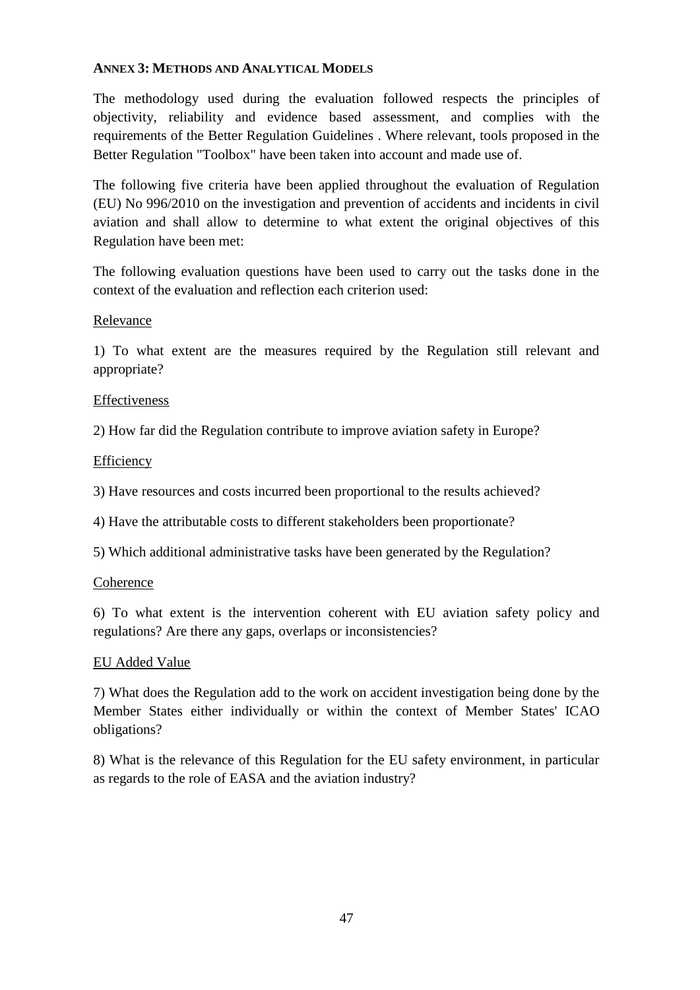### <span id="page-46-0"></span>**ANNEX 3: METHODS AND ANALYTICAL MODELS**

The methodology used during the evaluation followed respects the principles of objectivity, reliability and evidence based assessment, and complies with the requirements of the Better Regulation Guidelines . Where relevant, tools proposed in the Better Regulation "Toolbox" have been taken into account and made use of.

The following five criteria have been applied throughout the evaluation of Regulation (EU) No 996/2010 on the investigation and prevention of accidents and incidents in civil aviation and shall allow to determine to what extent the original objectives of this Regulation have been met:

The following evaluation questions have been used to carry out the tasks done in the context of the evaluation and reflection each criterion used:

### Relevance

1) To what extent are the measures required by the Regulation still relevant and appropriate?

### **Effectiveness**

2) How far did the Regulation contribute to improve aviation safety in Europe?

### Efficiency

3) Have resources and costs incurred been proportional to the results achieved?

4) Have the attributable costs to different stakeholders been proportionate?

5) Which additional administrative tasks have been generated by the Regulation?

### **Coherence**

6) To what extent is the intervention coherent with EU aviation safety policy and regulations? Are there any gaps, overlaps or inconsistencies?

### EU Added Value

7) What does the Regulation add to the work on accident investigation being done by the Member States either individually or within the context of Member States' ICAO obligations?

8) What is the relevance of this Regulation for the EU safety environment, in particular as regards to the role of EASA and the aviation industry?